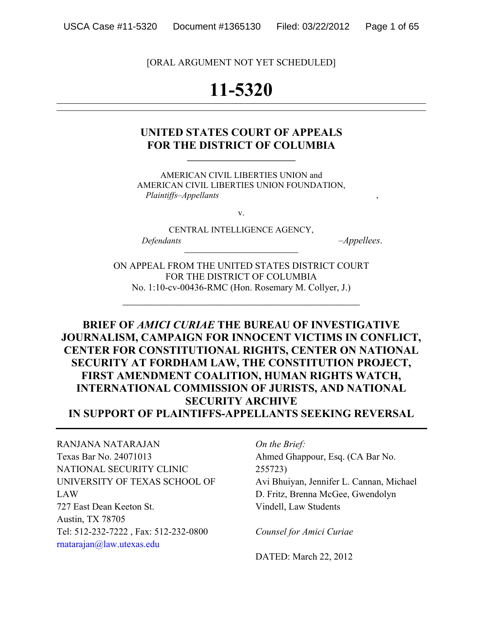[ORAL ARGUMENT NOT YET SCHEDULED]

# **11-5320**

## **UNITED STATES COURT OF APPEALS**  FOR THE DISTRICT OF COLUMBIA

AMERICAN CIVIL LIBERTIES UNION and AMERICAN CIVIL LIBERTIES UNION FOUNDATION,  *Plaintiffs–Appellants* ,

v.

CENTRAL INTELLIGENCE AGENCY,  *Defendants –Appellees*.

ON APPEAL FROM THE UNITED STATES DISTRICT COURT FOR THE DISTRICT OF COLUMBIA No. 1:10-cv-00436-RMC (Hon. Rosemary M. Collyer, J.)

\_\_\_\_\_\_\_\_\_\_\_\_\_\_\_\_\_\_\_\_\_\_\_\_\_\_\_\_\_\_\_\_\_\_\_\_\_\_\_\_\_\_\_

**BRIEF OF** *AMICI CURIAE* **THE BUREAU OF INVESTIGATIVE JOURNALISM, CAMPAIGN FOR INNOCENT VICTIMS IN CONFLICT, CENTER FOR CONSTITUTIONAL RIGHTS, CENTER ON NATIONAL SECURITY AT FORDHAM LAW, THE CONSTITUTION PROJECT, FIRST AMENDMENT COALITION, HUMAN RIGHTS WATCH, INTERNATIONAL COMMISSION OF JURISTS, AND NATIONAL SECURITY ARCHIVE IN SUPPORT OF PLAINTIFFS-APPELLANTS SEEKING REVERSAL** 

RANJANA NATARAJAN Texas Bar No. 24071013 NATIONAL SECURITY CLINIC UNIVERSITY OF TEXAS SCHOOL OF LAW 727 East Dean Keeton St. Austin, TX 78705 Tel: 512-232-7222 , Fax: 512-232-0800 rnatarajan@law.utexas.edu

*On the Brief:*  Ahmed Ghappour, Esq. (CA Bar No. 255723) Avi Bhuiyan, Jennifer L. Cannan, Michael D. Fritz, Brenna McGee, Gwendolyn Vindell, Law Students

*Counsel for Amici Curiae* 

DATED: March 22, 2012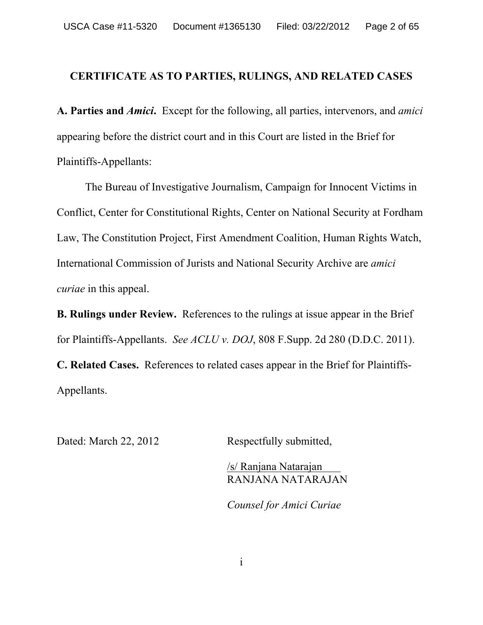### **CERTIFICATE AS TO PARTIES, RULINGS, AND RELATED CASES**

**A. Parties and** *Amici***.** Except for the following, all parties, intervenors, and *amici* appearing before the district court and in this Court are listed in the Brief for Plaintiffs-Appellants:

 The Bureau of Investigative Journalism, Campaign for Innocent Victims in Conflict, Center for Constitutional Rights, Center on National Security at Fordham Law, The Constitution Project, First Amendment Coalition, Human Rights Watch, International Commission of Jurists and National Security Archive are *amici curiae* in this appeal.

**B. Rulings under Review.** References to the rulings at issue appear in the Brief for Plaintiffs-Appellants. *See ACLU v. DOJ*, 808 F.Supp. 2d 280 (D.D.C. 2011). **C. Related Cases.** References to related cases appear in the Brief for Plaintiffs-Appellants.

Dated: March 22, 2012 Respectfully submitted,

/s/ Ranjana Natarajan RANJANA NATARAJAN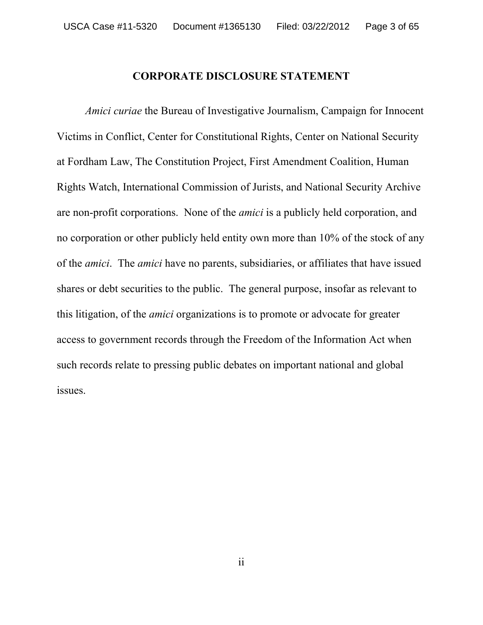#### **CORPORATE DISCLOSURE STATEMENT**

*Amici curiae* the Bureau of Investigative Journalism, Campaign for Innocent Victims in Conflict, Center for Constitutional Rights, Center on National Security at Fordham Law, The Constitution Project, First Amendment Coalition, Human Rights Watch, International Commission of Jurists, and National Security Archive are non-profit corporations. None of the *amici* is a publicly held corporation, and no corporation or other publicly held entity own more than 10% of the stock of any of the *amici*. The *amici* have no parents, subsidiaries, or affiliates that have issued shares or debt securities to the public. The general purpose, insofar as relevant to this litigation, of the *amici* organizations is to promote or advocate for greater access to government records through the Freedom of the Information Act when such records relate to pressing public debates on important national and global issues.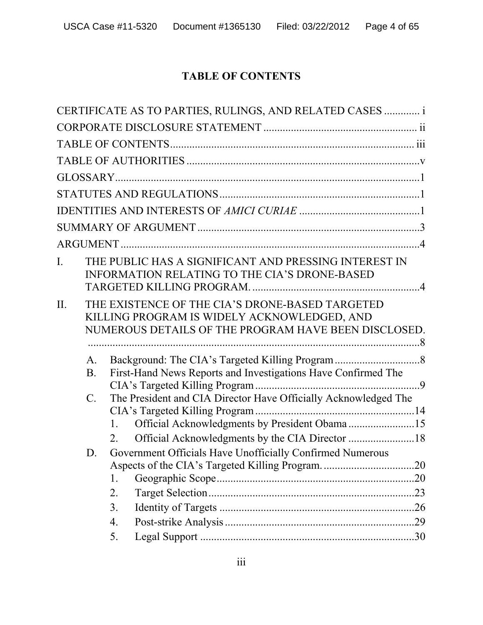# **TABLE OF CONTENTS**

|                |                 |    | CERTIFICATE AS TO PARTIES, RULINGS, AND RELATED CASES  i                                                                                               |  |
|----------------|-----------------|----|--------------------------------------------------------------------------------------------------------------------------------------------------------|--|
|                |                 |    |                                                                                                                                                        |  |
|                |                 |    |                                                                                                                                                        |  |
|                |                 |    |                                                                                                                                                        |  |
|                |                 |    |                                                                                                                                                        |  |
|                |                 |    |                                                                                                                                                        |  |
|                |                 |    |                                                                                                                                                        |  |
|                |                 |    |                                                                                                                                                        |  |
|                |                 |    |                                                                                                                                                        |  |
| $\overline{L}$ |                 |    | THE PUBLIC HAS A SIGNIFICANT AND PRESSING INTEREST IN<br><b>INFORMATION RELATING TO THE CIA'S DRONE-BASED</b>                                          |  |
| II.            |                 |    | THE EXISTENCE OF THE CIA'S DRONE-BASED TARGETED<br>KILLING PROGRAM IS WIDELY ACKNOWLEDGED, AND<br>NUMEROUS DETAILS OF THE PROGRAM HAVE BEEN DISCLOSED. |  |
|                | $A_{\cdot}$     |    |                                                                                                                                                        |  |
|                | B <sub>1</sub>  |    | First-Hand News Reports and Investigations Have Confirmed The                                                                                          |  |
|                | $\mathcal{C}$ . |    | The President and CIA Director Have Officially Acknowledged The                                                                                        |  |
|                |                 | 1. | Official Acknowledgments by President Obama15                                                                                                          |  |
|                |                 | 2. |                                                                                                                                                        |  |
|                | D.              | 1. | Government Officials Have Unofficially Confirmed Numerous                                                                                              |  |
|                |                 | 2. |                                                                                                                                                        |  |
|                |                 | 3. |                                                                                                                                                        |  |
|                |                 | 4. |                                                                                                                                                        |  |
|                |                 | 5. |                                                                                                                                                        |  |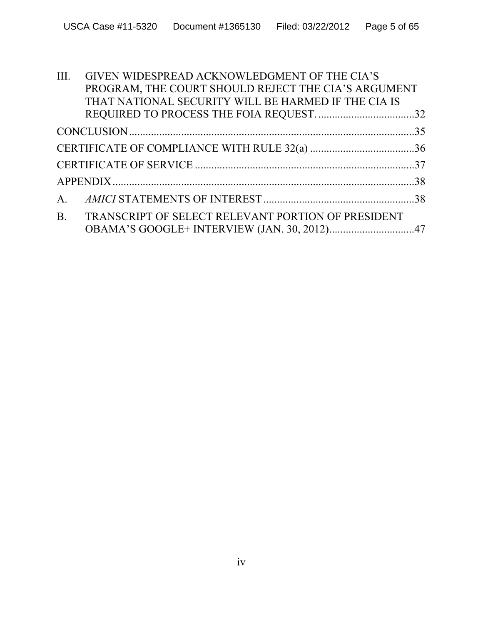| III. | GIVEN WIDESPREAD ACKNOWLEDGMENT OF THE CIA'S          |  |
|------|-------------------------------------------------------|--|
|      | PROGRAM, THE COURT SHOULD REJECT THE CIA'S ARGUMENT   |  |
|      | THAT NATIONAL SECURITY WILL BE HARMED IF THE CIA IS   |  |
|      |                                                       |  |
|      |                                                       |  |
|      |                                                       |  |
|      |                                                       |  |
|      |                                                       |  |
|      |                                                       |  |
|      | B. TRANSCRIPT OF SELECT RELEVANT PORTION OF PRESIDENT |  |
|      |                                                       |  |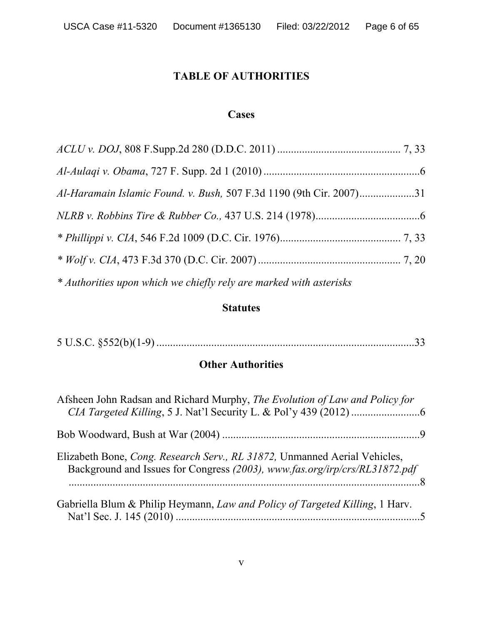# **TABLE OF AUTHORITIES**

# **Cases**

| Al-Haramain Islamic Found. v. Bush, 507 F.3d 1190 (9th Cir. 2007)31 |  |
|---------------------------------------------------------------------|--|
|                                                                     |  |
|                                                                     |  |
|                                                                     |  |
| * Authorities upon which we chiefly rely are marked with asterisks  |  |

#### **Statutes**

|--|--|

# **Other Authorities**

| Afsheen John Radsan and Richard Murphy, The Evolution of Law and Policy for                                                                             |  |
|---------------------------------------------------------------------------------------------------------------------------------------------------------|--|
|                                                                                                                                                         |  |
| Elizabeth Bone, Cong. Research Serv., RL 31872, Unmanned Aerial Vehicles,<br>Background and Issues for Congress (2003), www.fas.org/irp/crs/RL31872.pdf |  |
| Gabriella Blum & Philip Heymann, Law and Policy of Targeted Killing, 1 Harv.                                                                            |  |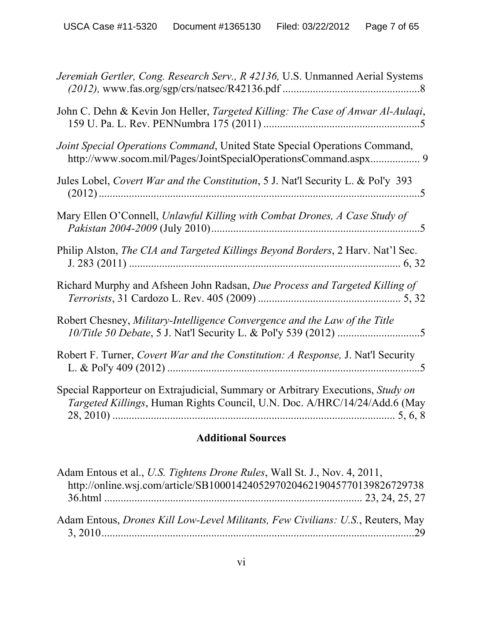| Jeremiah Gertler, Cong. Research Serv., R 42136, U.S. Unmanned Aerial Systems                                                                               |
|-------------------------------------------------------------------------------------------------------------------------------------------------------------|
| John C. Dehn & Kevin Jon Heller, Targeted Killing: The Case of Anwar Al-Aulaqi,                                                                             |
| Joint Special Operations Command, United State Special Operations Command,                                                                                  |
| Jules Lobel, Covert War and the Constitution, 5 J. Nat'l Security L. & Pol'y 393                                                                            |
| Mary Ellen O'Connell, Unlawful Killing with Combat Drones, A Case Study of                                                                                  |
| Philip Alston, The CIA and Targeted Killings Beyond Borders, 2 Harv. Nat'l Sec.                                                                             |
| Richard Murphy and Afsheen John Radsan, Due Process and Targeted Killing of                                                                                 |
| Robert Chesney, Military-Intelligence Convergence and the Law of the Title                                                                                  |
| Robert F. Turner, Covert War and the Constitution: A Response, J. Nat'l Security                                                                            |
| Special Rapporteur on Extrajudicial, Summary or Arbitrary Executions, Study on<br>Targeted Killings, Human Rights Council, U.N. Doc. A/HRC/14/24/Add.6 (May |

# **Additional Sources**

| Adam Entous et al., U.S. Tightens Drone Rules, Wall St. J., Nov. 4, 2011,<br>http://online.wsj.com/article/SB100014240529702046219045770139826729738 |  |
|------------------------------------------------------------------------------------------------------------------------------------------------------|--|
|                                                                                                                                                      |  |
| Adam Entous, <i>Drones Kill Low-Level Militants, Few Civilians: U.S.</i> , Reuters, May                                                              |  |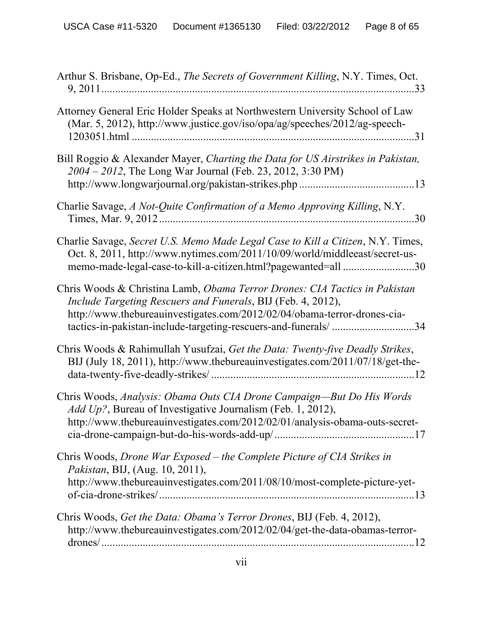| Arthur S. Brisbane, Op-Ed., The Secrets of Government Killing, N.Y. Times, Oct.                                                                                                                                                                                                          |
|------------------------------------------------------------------------------------------------------------------------------------------------------------------------------------------------------------------------------------------------------------------------------------------|
| Attorney General Eric Holder Speaks at Northwestern University School of Law<br>(Mar. 5, 2012), http://www.justice.gov/iso/opa/ag/speeches/2012/ag-speech-                                                                                                                               |
| Bill Roggio & Alexander Mayer, Charting the Data for US Airstrikes in Pakistan,<br>2004 - 2012, The Long War Journal (Feb. 23, 2012, 3:30 PM)                                                                                                                                            |
| Charlie Savage, A Not-Quite Confirmation of a Memo Approving Killing, N.Y.                                                                                                                                                                                                               |
| Charlie Savage, Secret U.S. Memo Made Legal Case to Kill a Citizen, N.Y. Times,<br>Oct. 8, 2011, http://www.nytimes.com/2011/10/09/world/middleeast/secret-us-<br>memo-made-legal-case-to-kill-a-citizen.html?pagewanted=all 30                                                          |
| Chris Woods & Christina Lamb, Obama Terror Drones: CIA Tactics in Pakistan<br>Include Targeting Rescuers and Funerals, BIJ (Feb. 4, 2012),<br>http://www.thebureauinvestigates.com/2012/02/04/obama-terror-drones-cia-<br>tactics-in-pakistan-include-targeting-rescuers-and-funerals/34 |
| Chris Woods & Rahimullah Yusufzai, Get the Data: Twenty-five Deadly Strikes,<br>BIJ (July 18, 2011), http://www.thebureauinvestigates.com/2011/07/18/get-the-                                                                                                                            |
| Chris Woods, Analysis: Obama Outs CIA Drone Campaign—But Do His Words<br><i>Add Up?</i> , Bureau of Investigative Journalism (Feb. 1, 2012),<br>http://www.thebureauinvestigates.com/2012/02/01/analysis-obama-outs-secret-                                                              |
| Chris Woods, Drone War Exposed – the Complete Picture of CIA Strikes in<br>Pakistan, BIJ, (Aug. 10, 2011),<br>http://www.thebureauinvestigates.com/2011/08/10/most-complete-picture-yet-                                                                                                 |
| Chris Woods, Get the Data: Obama's Terror Drones, BIJ (Feb. 4, 2012),<br>http://www.thebureauinvestigates.com/2012/02/04/get-the-data-obamas-terror-                                                                                                                                     |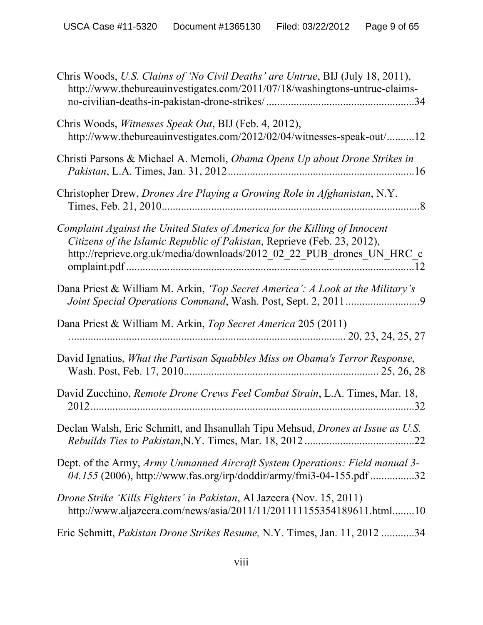| Chris Woods, U.S. Claims of 'No Civil Deaths' are Untrue, BIJ (July 18, 2011),<br>http://www.thebureauinvestigates.com/2011/07/18/washingtons-untrue-claims-                                                                   |
|--------------------------------------------------------------------------------------------------------------------------------------------------------------------------------------------------------------------------------|
| Chris Woods, Witnesses Speak Out, BIJ (Feb. 4, 2012),<br>http://www.thebureauinvestigates.com/2012/02/04/witnesses-speak-out/12                                                                                                |
| Christi Parsons & Michael A. Memoli, Obama Opens Up about Drone Strikes in                                                                                                                                                     |
| Christopher Drew, <i>Drones Are Playing a Growing Role in Afghanistan</i> , N.Y.                                                                                                                                               |
| Complaint Against the United States of America for the Killing of Innocent<br>Citizens of the Islamic Republic of Pakistan, Reprieve (Feb. 23, 2012),<br>http://reprieve.org.uk/media/downloads/2012 02 22 PUB drones UN HRC c |
| Dana Priest & William M. Arkin, 'Top Secret America': A Look at the Military's                                                                                                                                                 |
| Dana Priest & William M. Arkin, Top Secret America 205 (2011)                                                                                                                                                                  |
| David Ignatius, What the Partisan Squabbles Miss on Obama's Terror Response,                                                                                                                                                   |
| David Zucchino, Remote Drone Crews Feel Combat Strain, L.A. Times, Mar. 18,                                                                                                                                                    |
| Declan Walsh, Eric Schmitt, and Ihsanullah Tipu Mehsud, Drones at Issue as U.S.                                                                                                                                                |
| Dept. of the Army, Army Unmanned Aircraft System Operations: Field manual 3-<br>04.155 (2006), http://www.fas.org/irp/doddir/army/fmi3-04-155.pdf 32                                                                           |
| Drone Strike 'Kills Fighters' in Pakistan, Al Jazeera (Nov. 15, 2011)<br>http://www.aljazeera.com/news/asia/2011/11/201111155354189611.html10                                                                                  |
| Eric Schmitt, <i>Pakistan Drone Strikes Resume</i> , N.Y. Times, Jan. 11, 2012 34                                                                                                                                              |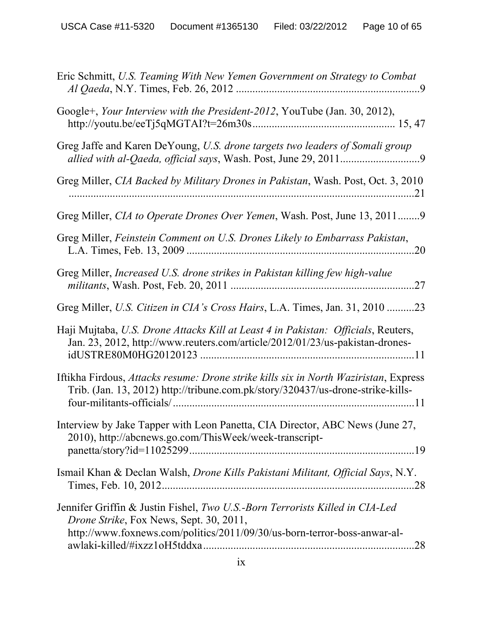| Eric Schmitt, U.S. Teaming With New Yemen Government on Strategy to Combat                                                                                                                                         |
|--------------------------------------------------------------------------------------------------------------------------------------------------------------------------------------------------------------------|
| Google+, Your Interview with the President-2012, YouTube (Jan. 30, 2012),                                                                                                                                          |
| Greg Jaffe and Karen DeYoung, U.S. drone targets two leaders of Somali group                                                                                                                                       |
| Greg Miller, CIA Backed by Military Drones in Pakistan, Wash. Post, Oct. 3, 2010                                                                                                                                   |
| Greg Miller, CIA to Operate Drones Over Yemen, Wash. Post, June 13, 20119                                                                                                                                          |
| Greg Miller, Feinstein Comment on U.S. Drones Likely to Embarrass Pakistan,<br>.20                                                                                                                                 |
| Greg Miller, Increased U.S. drone strikes in Pakistan killing few high-value<br>.27                                                                                                                                |
| Greg Miller, U.S. Citizen in CIA's Cross Hairs, L.A. Times, Jan. 31, 2010 23                                                                                                                                       |
| Haji Mujtaba, U.S. Drone Attacks Kill at Least 4 in Pakistan: Officials, Reuters,<br>Jan. 23, 2012, http://www.reuters.com/article/2012/01/23/us-pakistan-drones-                                                  |
| Iftikha Firdous, Attacks resume: Drone strike kills six in North Waziristan, Express<br>Trib. (Jan. 13, 2012) http://tribune.com.pk/story/320437/us-drone-strike-kills-                                            |
| Interview by Jake Tapper with Leon Panetta, CIA Director, ABC News (June 27,<br>2010), http://abcnews.go.com/ThisWeek/week-transcript-                                                                             |
| Ismail Khan & Declan Walsh, <i>Drone Kills Pakistani Militant</i> , <i>Official Says</i> , N.Y.                                                                                                                    |
| Jennifer Griffin & Justin Fishel, Two U.S.-Born Terrorists Killed in CIA-Led<br><i>Drone Strike</i> , Fox News, Sept. 30, 2011,<br>http://www.foxnews.com/politics/2011/09/30/us-born-terror-boss-anwar-al-<br>.28 |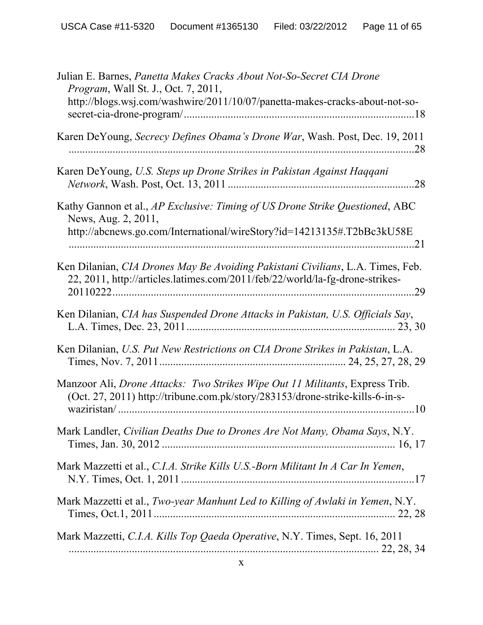| Julian E. Barnes, Panetta Makes Cracks About Not-So-Secret CIA Drone<br><i>Program</i> , Wall St. J., Oct. 7, 2011,                                                   |
|-----------------------------------------------------------------------------------------------------------------------------------------------------------------------|
| http://blogs.wsj.com/washwire/2011/10/07/panetta-makes-cracks-about-not-so-                                                                                           |
| Karen DeYoung, Secrecy Defines Obama's Drone War, Wash. Post, Dec. 19, 2011                                                                                           |
| Karen DeYoung, U.S. Steps up Drone Strikes in Pakistan Against Haqqani<br>.28                                                                                         |
| Kathy Gannon et al., AP Exclusive: Timing of US Drone Strike Questioned, ABC<br>News, Aug. 2, 2011,                                                                   |
| http://abcnews.go.com/International/wireStory?id=14213135#.T2bBc3kU58E                                                                                                |
| Ken Dilanian, CIA Drones May Be Avoiding Pakistani Civilians, L.A. Times, Feb.<br>22, 2011, http://articles.latimes.com/2011/feb/22/world/la-fg-drone-strikes-<br>.29 |
| Ken Dilanian, CIA has Suspended Drone Attacks in Pakistan, U.S. Officials Say,                                                                                        |
| Ken Dilanian, U.S. Put New Restrictions on CIA Drone Strikes in Pakistan, L.A.                                                                                        |
| Manzoor Ali, Drone Attacks: Two Strikes Wipe Out 11 Militants, Express Trib.<br>(Oct. 27, 2011) http://tribune.com.pk/story/283153/drone-strike-kills-6-in-s-<br>.10  |
| Mark Landler, Civilian Deaths Due to Drones Are Not Many, Obama Says, N.Y.                                                                                            |
| Mark Mazzetti et al., C.I.A. Strike Kills U.S.-Born Militant In A Car In Yemen,                                                                                       |
| Mark Mazzetti et al., Two-year Manhunt Led to Killing of Awlaki in Yemen, N.Y.                                                                                        |
| Mark Mazzetti, C.I.A. Kills Top Qaeda Operative, N.Y. Times, Sept. 16, 2011                                                                                           |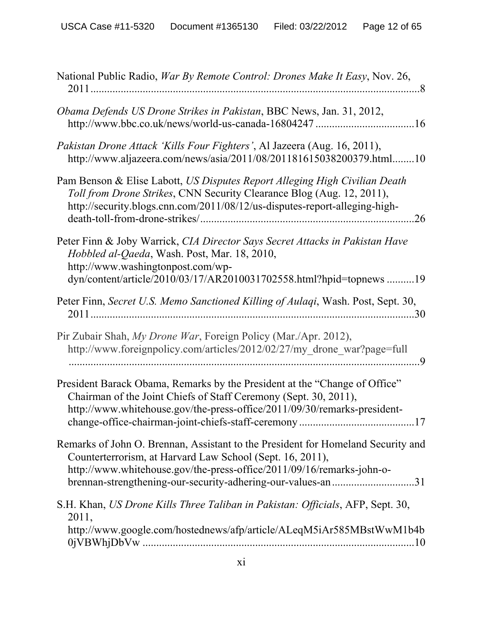| National Public Radio, War By Remote Control: Drones Make It Easy, Nov. 26,                                                                                                                                                                                                           |
|---------------------------------------------------------------------------------------------------------------------------------------------------------------------------------------------------------------------------------------------------------------------------------------|
| Obama Defends US Drone Strikes in Pakistan, BBC News, Jan. 31, 2012,                                                                                                                                                                                                                  |
| Pakistan Drone Attack 'Kills Four Fighters', Al Jazeera (Aug. 16, 2011),<br>http://www.aljazeera.com/news/asia/2011/08/201181615038200379.html10                                                                                                                                      |
| Pam Benson & Elise Labott, US Disputes Report Alleging High Civilian Death<br>Toll from Drone Strikes, CNN Security Clearance Blog (Aug. 12, 2011),<br>http://security.blogs.cnn.com/2011/08/12/us-disputes-report-alleging-high-<br>.26                                              |
| Peter Finn & Joby Warrick, CIA Director Says Secret Attacks in Pakistan Have<br>Hobbled al-Qaeda, Wash. Post, Mar. 18, 2010,<br>http://www.washingtonpost.com/wp-<br>dyn/content/article/2010/03/17/AR2010031702558.html?hpid=topnews19                                               |
| Peter Finn, Secret U.S. Memo Sanctioned Killing of Aulaqi, Wash. Post, Sept. 30,                                                                                                                                                                                                      |
| Pir Zubair Shah, My Drone War, Foreign Policy (Mar./Apr. 2012),<br>http://www.foreignpolicy.com/articles/2012/02/27/my_drone_war?page=full                                                                                                                                            |
| President Barack Obama, Remarks by the President at the "Change of Office"<br>Chairman of the Joint Chiefs of Staff Ceremony (Sept. 30, 2011),<br>http://www.whitehouse.gov/the-press-office/2011/09/30/remarks-president-<br>.17                                                     |
| Remarks of John O. Brennan, Assistant to the President for Homeland Security and<br>Counterterrorism, at Harvard Law School (Sept. 16, 2011),<br>http://www.whitehouse.gov/the-press-office/2011/09/16/remarks-john-o-<br>brennan-strengthening-our-security-adhering-our-values-an31 |
| S.H. Khan, US Drone Kills Three Taliban in Pakistan: Officials, AFP, Sept. 30,<br>2011,<br>http://www.google.com/hostednews/afp/article/ALeqM5iAr585MBstWwM1b4b                                                                                                                       |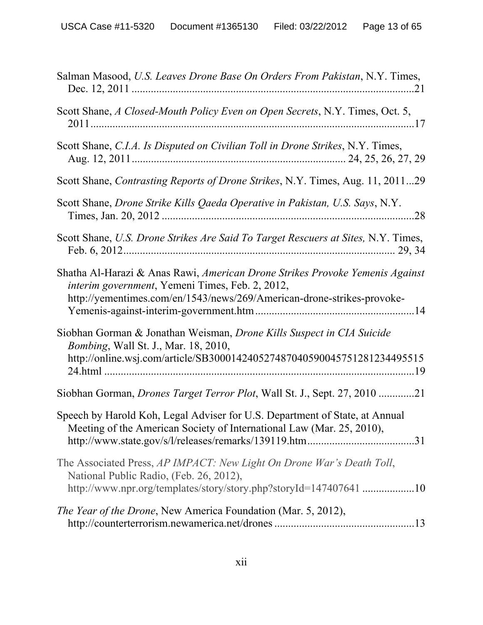| Salman Masood, U.S. Leaves Drone Base On Orders From Pakistan, N.Y. Times,                                                                                                                                |
|-----------------------------------------------------------------------------------------------------------------------------------------------------------------------------------------------------------|
| Scott Shane, A Closed-Mouth Policy Even on Open Secrets, N.Y. Times, Oct. 5,                                                                                                                              |
| Scott Shane, C.I.A. Is Disputed on Civilian Toll in Drone Strikes, N.Y. Times,                                                                                                                            |
| Scott Shane, Contrasting Reports of Drone Strikes, N.Y. Times, Aug. 11, 201129                                                                                                                            |
| Scott Shane, Drone Strike Kills Qaeda Operative in Pakistan, U.S. Says, N.Y.                                                                                                                              |
| Scott Shane, U.S. Drone Strikes Are Said To Target Rescuers at Sites, N.Y. Times,                                                                                                                         |
| Shatha Al-Harazi & Anas Rawi, American Drone Strikes Provoke Yemenis Against<br>interim government, Yemeni Times, Feb. 2, 2012,<br>http://yementimes.com/en/1543/news/269/American-drone-strikes-provoke- |
| Siobhan Gorman & Jonathan Weisman, Drone Kills Suspect in CIA Suicide<br><i>Bombing</i> , Wall St. J., Mar. 18, 2010,<br>http://online.wsj.com/article/SB300014240527487040590045751281234495515          |
| Siobhan Gorman, <i>Drones Target Terror Plot</i> , Wall St. J., Sept. 27, 2010 21                                                                                                                         |
| Speech by Harold Koh, Legal Adviser for U.S. Department of State, at Annual<br>Meeting of the American Society of International Law (Mar. 25, 2010),<br>.31                                               |
| The Associated Press, AP IMPACT: New Light On Drone War's Death Toll,<br>National Public Radio, (Feb. 26, 2012),<br>http://www.npr.org/templates/story/story.php?storyId=147407641 10                     |
| The Year of the Drone, New America Foundation (Mar. 5, 2012),                                                                                                                                             |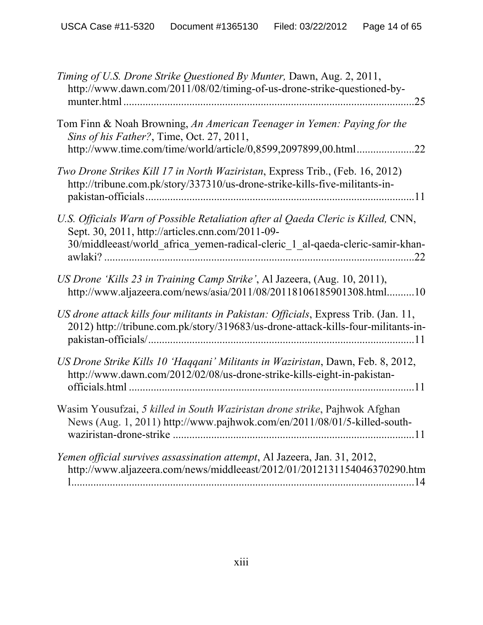| Timing of U.S. Drone Strike Questioned By Munter, Dawn, Aug. 2, 2011,<br>http://www.dawn.com/2011/08/02/timing-of-us-drone-strike-questioned-by-<br>25                                                                        |
|-------------------------------------------------------------------------------------------------------------------------------------------------------------------------------------------------------------------------------|
| Tom Finn & Noah Browning, An American Teenager in Yemen: Paying for the<br>Sins of his Father?, Time, Oct. 27, 2011,<br>http://www.time.com/time/world/article/0,8599,2097899,00.html<br>.22                                  |
| Two Drone Strikes Kill 17 in North Waziristan, Express Trib., (Feb. 16, 2012)<br>http://tribune.com.pk/story/337310/us-drone-strike-kills-five-militants-in-<br>11                                                            |
| U.S. Officials Warn of Possible Retaliation after al Qaeda Cleric is Killed, CNN,<br>Sept. 30, 2011, http://articles.cnn.com/2011-09-<br>30/middleeast/world_africa_yemen-radical-cleric_1_al-qaeda-cleric-samir-khan-<br>.22 |
| US Drone 'Kills 23 in Training Camp Strike', Al Jazeera, (Aug. 10, 2011),<br>http://www.aljazeera.com/news/asia/2011/08/20118106185901308.html10                                                                              |
| US drone attack kills four militants in Pakistan: Officials, Express Trib. (Jan. 11,<br>2012) http://tribune.com.pk/story/319683/us-drone-attack-kills-four-militants-in-                                                     |
| US Drone Strike Kills 10 'Haqqani' Militants in Waziristan, Dawn, Feb. 8, 2012,<br>http://www.dawn.com/2012/02/08/us-drone-strike-kills-eight-in-pakistan-<br>$\overline{11}$                                                 |
| Wasim Yousufzai, 5 killed in South Waziristan drone strike, Pajhwok Afghan<br>News (Aug. 1, 2011) http://www.pajhwok.com/en/2011/08/01/5-killed-south-                                                                        |
| Yemen official survives assassination attempt, Al Jazeera, Jan. 31, 2012,<br>http://www.aljazeera.com/news/middleeast/2012/01/2012131154046370290.htm                                                                         |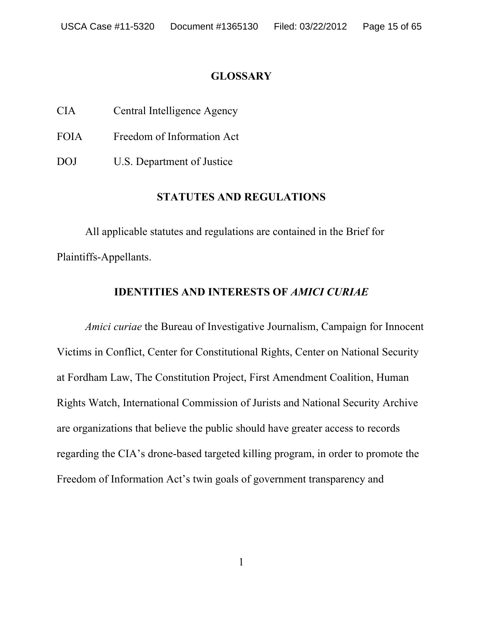#### **GLOSSARY**

CIA Central Intelligence Agency

FOIA Freedom of Information Act

DOJ U.S. Department of Justice

# **STATUTES AND REGULATIONS**

All applicable statutes and regulations are contained in the Brief for Plaintiffs-Appellants.

# **IDENTITIES AND INTERESTS OF** *AMICI CURIAE*

*Amici curiae* the Bureau of Investigative Journalism, Campaign for Innocent Victims in Conflict, Center for Constitutional Rights, Center on National Security at Fordham Law, The Constitution Project, First Amendment Coalition, Human Rights Watch, International Commission of Jurists and National Security Archive are organizations that believe the public should have greater access to records regarding the CIA's drone-based targeted killing program, in order to promote the Freedom of Information Act's twin goals of government transparency and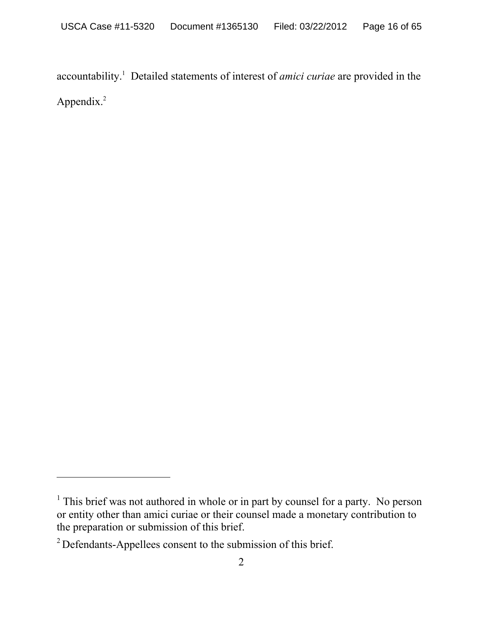accountability.1 Detailed statements of interest of *amici curiae* are provided in the Appendix.<sup>2</sup>

<sup>&</sup>lt;sup>1</sup> This brief was not authored in whole or in part by counsel for a party. No person or entity other than amici curiae or their counsel made a monetary contribution to the preparation or submission of this brief.

<sup>2</sup> Defendants-Appellees consent to the submission of this brief.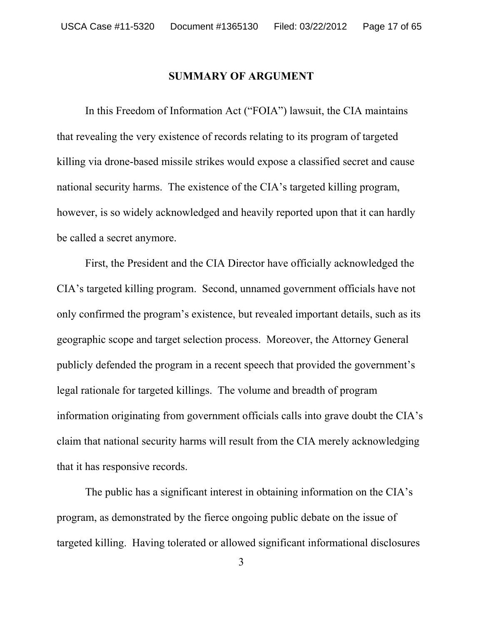#### **SUMMARY OF ARGUMENT**

In this Freedom of Information Act ("FOIA") lawsuit, the CIA maintains that revealing the very existence of records relating to its program of targeted killing via drone-based missile strikes would expose a classified secret and cause national security harms. The existence of the CIA's targeted killing program, however, is so widely acknowledged and heavily reported upon that it can hardly be called a secret anymore.

First, the President and the CIA Director have officially acknowledged the CIA's targeted killing program. Second, unnamed government officials have not only confirmed the program's existence, but revealed important details, such as its geographic scope and target selection process. Moreover, the Attorney General publicly defended the program in a recent speech that provided the government's legal rationale for targeted killings. The volume and breadth of program information originating from government officials calls into grave doubt the CIA's claim that national security harms will result from the CIA merely acknowledging that it has responsive records.

The public has a significant interest in obtaining information on the CIA's program, as demonstrated by the fierce ongoing public debate on the issue of targeted killing. Having tolerated or allowed significant informational disclosures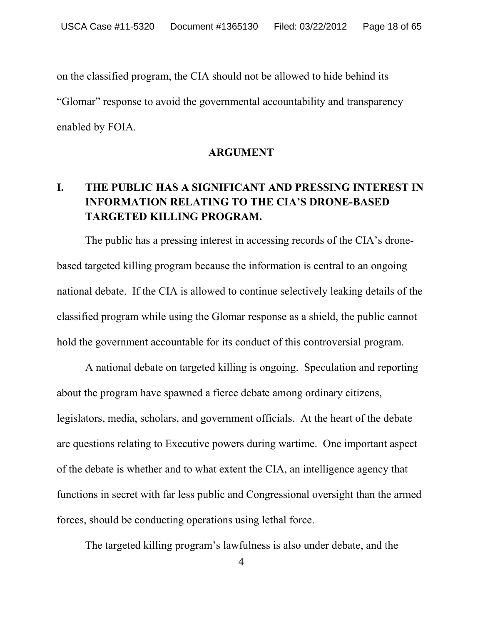on the classified program, the CIA should not be allowed to hide behind its "Glomar" response to avoid the governmental accountability and transparency enabled by FOIA.

#### **ARGUMENT**

# **I. THE PUBLIC HAS A SIGNIFICANT AND PRESSING INTEREST IN INFORMATION RELATING TO THE CIA'S DRONE-BASED TARGETED KILLING PROGRAM.**

The public has a pressing interest in accessing records of the CIA's dronebased targeted killing program because the information is central to an ongoing national debate. If the CIA is allowed to continue selectively leaking details of the classified program while using the Glomar response as a shield, the public cannot hold the government accountable for its conduct of this controversial program.

A national debate on targeted killing is ongoing. Speculation and reporting about the program have spawned a fierce debate among ordinary citizens, legislators, media, scholars, and government officials. At the heart of the debate are questions relating to Executive powers during wartime. One important aspect of the debate is whether and to what extent the CIA, an intelligence agency that functions in secret with far less public and Congressional oversight than the armed forces, should be conducting operations using lethal force.

The targeted killing program's lawfulness is also under debate, and the

4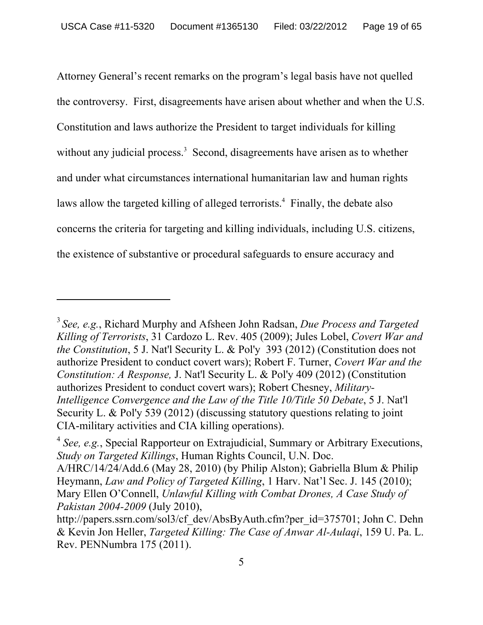Attorney General's recent remarks on the program's legal basis have not quelled the controversy. First, disagreements have arisen about whether and when the U.S. Constitution and laws authorize the President to target individuals for killing without any judicial process.<sup>3</sup> Second, disagreements have arisen as to whether and under what circumstances international humanitarian law and human rights laws allow the targeted killing of alleged terrorists.<sup>4</sup> Finally, the debate also concerns the criteria for targeting and killing individuals, including U.S. citizens, the existence of substantive or procedural safeguards to ensure accuracy and

-

<sup>3</sup>*See, e.g.*, Richard Murphy and Afsheen John Radsan, *Due Process and Targeted Killing of Terrorists*, 31 Cardozo L. Rev. 405 (2009); Jules Lobel, *Covert War and the Constitution*, 5 J. Nat'l Security L. & Pol'y 393 (2012) (Constitution does not authorize President to conduct covert wars); Robert F. Turner, *Covert War and the Constitution: A Response,* J. Nat'l Security L. & Pol'y 409 (2012) (Constitution authorizes President to conduct covert wars); Robert Chesney, *Military-Intelligence Convergence and the Law of the Title 10/Title 50 Debate*, 5 J. Nat'l Security L. & Pol'y 539 (2012) (discussing statutory questions relating to joint CIA-military activities and CIA killing operations).

<sup>&</sup>lt;sup>4</sup> See, e.g., Special Rapporteur on Extrajudicial, Summary or Arbitrary Executions, *Study on Targeted Killings*, Human Rights Council, U.N. Doc.

A/HRC/14/24/Add.6 (May 28, 2010) (by Philip Alston); Gabriella Blum & Philip Heymann, *Law and Policy of Targeted Killing*, 1 Harv. Nat'l Sec. J. 145 (2010); Mary Ellen O'Connell, *Unlawful Killing with Combat Drones, A Case Study of Pakistan 2004-2009* (July 2010),

http://papers.ssrn.com/sol3/cf\_dev/AbsByAuth.cfm?per\_id=375701; John C. Dehn & Kevin Jon Heller, *Targeted Killing: The Case of Anwar Al-Aulaqi*, 159 U. Pa. L. Rev. PENNumbra 175 (2011).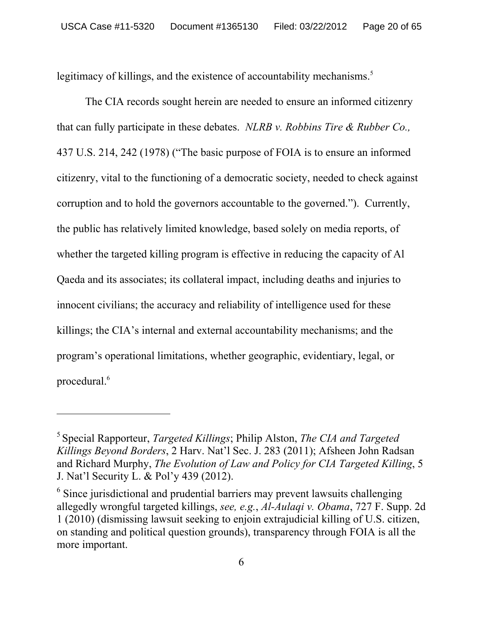legitimacy of killings, and the existence of accountability mechanisms.<sup>5</sup>

The CIA records sought herein are needed to ensure an informed citizenry that can fully participate in these debates. *NLRB v. Robbins Tire & Rubber Co.,* 437 U.S. 214, 242 (1978) ("The basic purpose of FOIA is to ensure an informed citizenry, vital to the functioning of a democratic society, needed to check against corruption and to hold the governors accountable to the governed."). Currently, the public has relatively limited knowledge, based solely on media reports, of whether the targeted killing program is effective in reducing the capacity of Al Qaeda and its associates; its collateral impact, including deaths and injuries to innocent civilians; the accuracy and reliability of intelligence used for these killings; the CIA's internal and external accountability mechanisms; and the program's operational limitations, whether geographic, evidentiary, legal, or procedural.<sup>6</sup>

-

<sup>5</sup> Special Rapporteur, *Targeted Killings*; Philip Alston, *The CIA and Targeted Killings Beyond Borders*, 2 Harv. Nat'l Sec. J. 283 (2011); Afsheen John Radsan and Richard Murphy, *The Evolution of Law and Policy for CIA Targeted Killing*, 5 J. Nat'l Security L. & Pol'y 439 (2012).

<sup>&</sup>lt;sup>6</sup> Since jurisdictional and prudential barriers may prevent lawsuits challenging allegedly wrongful targeted killings, *see, e.g.*, *Al-Aulaqi v. Obama*, 727 F. Supp. 2d 1 (2010) (dismissing lawsuit seeking to enjoin extrajudicial killing of U.S. citizen, on standing and political question grounds), transparency through FOIA is all the more important.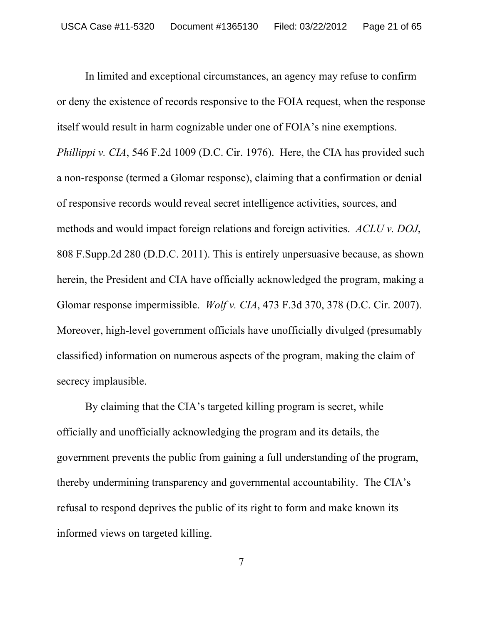In limited and exceptional circumstances, an agency may refuse to confirm or deny the existence of records responsive to the FOIA request, when the response itself would result in harm cognizable under one of FOIA's nine exemptions. *Phillippi v. CIA*, 546 F.2d 1009 (D.C. Cir. 1976). Here, the CIA has provided such a non-response (termed a Glomar response), claiming that a confirmation or denial of responsive records would reveal secret intelligence activities, sources, and methods and would impact foreign relations and foreign activities. *ACLU v. DOJ*, 808 F.Supp.2d 280 (D.D.C. 2011). This is entirely unpersuasive because, as shown herein, the President and CIA have officially acknowledged the program, making a Glomar response impermissible. *Wolf v. CIA*, 473 F.3d 370, 378 (D.C. Cir. 2007). Moreover, high-level government officials have unofficially divulged (presumably classified) information on numerous aspects of the program, making the claim of secrecy implausible.

By claiming that the CIA's targeted killing program is secret, while officially and unofficially acknowledging the program and its details, the government prevents the public from gaining a full understanding of the program, thereby undermining transparency and governmental accountability. The CIA's refusal to respond deprives the public of its right to form and make known its informed views on targeted killing.

7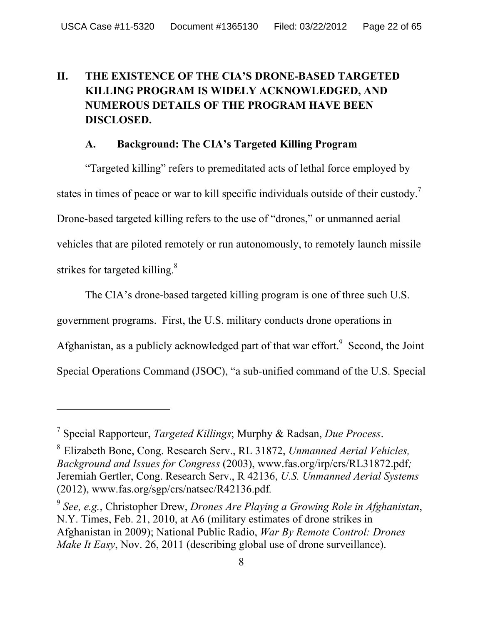# **II. THE EXISTENCE OF THE CIA'S DRONE-BASED TARGETED KILLING PROGRAM IS WIDELY ACKNOWLEDGED, AND NUMEROUS DETAILS OF THE PROGRAM HAVE BEEN DISCLOSED.**

# **A. Background: The CIA's Targeted Killing Program**

"Targeted killing" refers to premeditated acts of lethal force employed by states in times of peace or war to kill specific individuals outside of their custody.<sup>7</sup> Drone-based targeted killing refers to the use of "drones," or unmanned aerial vehicles that are piloted remotely or run autonomously, to remotely launch missile strikes for targeted killing. $8$ 

The CIA's drone-based targeted killing program is one of three such U.S. government programs. First, the U.S. military conducts drone operations in Afghanistan, as a publicly acknowledged part of that war effort.<sup>9</sup> Second, the Joint Special Operations Command (JSOC), "a sub-unified command of the U.S. Special

<sup>7</sup> Special Rapporteur, *Targeted Killings*; Murphy & Radsan, *Due Process*.

<sup>8</sup> Elizabeth Bone, Cong. Research Serv., RL 31872, *Unmanned Aerial Vehicles, Background and Issues for Congress* (2003), www.fas.org/irp/crs/RL31872.pdf*;*  Jeremiah Gertler, Cong. Research Serv., R 42136, *U.S. Unmanned Aerial Systems*  (2012), www.fas.org/sgp/crs/natsec/R42136.pdf*.*

<sup>9</sup> *See, e.g.*, Christopher Drew, *Drones Are Playing a Growing Role in Afghanistan*, N.Y. Times, Feb. 21, 2010, at A6 (military estimates of drone strikes in Afghanistan in 2009); National Public Radio, *War By Remote Control: Drones Make It Easy*, Nov. 26, 2011 (describing global use of drone surveillance).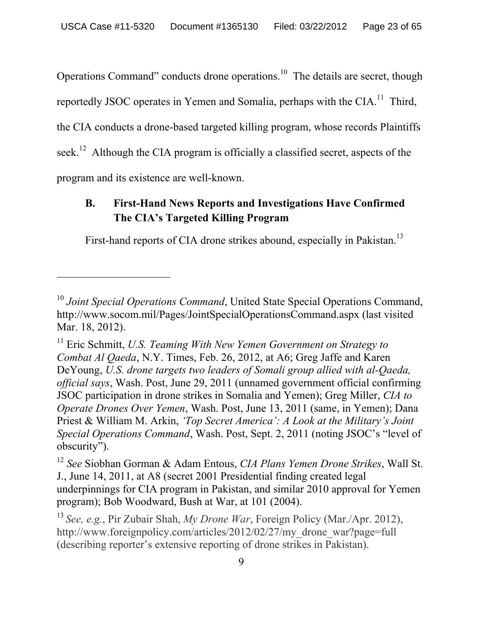Operations Command" conducts drone operations.<sup>10</sup> The details are secret, though reportedly JSOC operates in Yemen and Somalia, perhaps with the  $CIA$ <sup>11</sup>. Third, the CIA conducts a drone-based targeted killing program, whose records Plaintiffs seek.<sup>12</sup> Although the CIA program is officially a classified secret, aspects of the program and its existence are well-known.

# **B. First-Hand News Reports and Investigations Have Confirmed The CIA's Targeted Killing Program**

First-hand reports of CIA drone strikes abound, especially in Pakistan.<sup>13</sup>

<sup>&</sup>lt;sup>10</sup> Joint Special Operations Command, United State Special Operations Command, http://www.socom.mil/Pages/JointSpecialOperationsCommand.aspx (last visited Mar. 18, 2012).

<sup>&</sup>lt;sup>11</sup> Eric Schmitt, *U.S. Teaming With New Yemen Government on Strategy to Combat Al Qaeda*, N.Y. Times, Feb. 26, 2012, at A6; Greg Jaffe and Karen DeYoung, *U.S. drone targets two leaders of Somali group allied with al-Qaeda, official says*, Wash. Post, June 29, 2011 (unnamed government official confirming JSOC participation in drone strikes in Somalia and Yemen); Greg Miller, *CIA to Operate Drones Over Yemen*, Wash. Post, June 13, 2011 (same, in Yemen); Dana Priest & William M. Arkin, *'Top Secret America': A Look at the Military's Joint Special Operations Command*, Wash. Post, Sept. 2, 2011 (noting JSOC's "level of obscurity").

<sup>12</sup> *See* Siobhan Gorman & Adam Entous, *CIA Plans Yemen Drone Strikes*, Wall St. J., June 14, 2011, at A8 (secret 2001 Presidential finding created legal underpinnings for CIA program in Pakistan, and similar 2010 approval for Yemen program); Bob Woodward, Bush at War, at 101 (2004).

<sup>13</sup>*See, e.g.*, Pir Zubair Shah, *My Drone War*, Foreign Policy (Mar./Apr. 2012), http://www.foreignpolicy.com/articles/2012/02/27/my\_drone\_war?page=full (describing reporter's extensive reporting of drone strikes in Pakistan).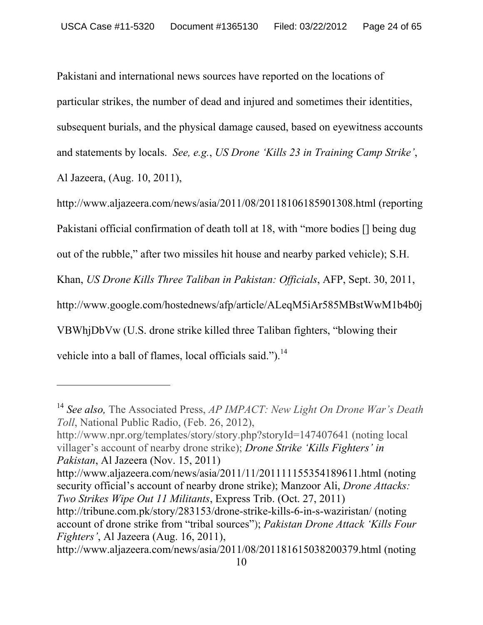Pakistani and international news sources have reported on the locations of particular strikes, the number of dead and injured and sometimes their identities, subsequent burials, and the physical damage caused, based on eyewitness accounts and statements by locals. *See, e.g.*, *US Drone 'Kills 23 in Training Camp Strike'*, Al Jazeera, (Aug. 10, 2011),

http://www.aljazeera.com/news/asia/2011/08/20118106185901308.html (reporting Pakistani official confirmation of death toll at 18, with "more bodies [] being dug out of the rubble," after two missiles hit house and nearby parked vehicle); S.H. Khan, *US Drone Kills Three Taliban in Pakistan: Officials*, AFP, Sept. 30, 2011, http://www.google.com/hostednews/afp/article/ALeqM5iAr585MBstWwM1b4b0j VBWhjDbVw (U.S. drone strike killed three Taliban fighters, "blowing their vehicle into a ball of flames, local officials said.").<sup>14</sup>

http://www.npr.org/templates/story/story.php?storyId=147407641 (noting local villager's account of nearby drone strike); *Drone Strike 'Kills Fighters' in Pakistan*, Al Jazeera (Nov. 15, 2011)

http://www.aljazeera.com/news/asia/2011/11/201111155354189611.html (noting security official's account of nearby drone strike); Manzoor Ali, *Drone Attacks: Two Strikes Wipe Out 11 Militants*, Express Trib. (Oct. 27, 2011) http://tribune.com.pk/story/283153/drone-strike-kills-6-in-s-waziristan/ (noting account of drone strike from "tribal sources"); *Pakistan Drone Attack 'Kills Four* 

*Fighters'*, Al Jazeera (Aug. 16, 2011),

<sup>14</sup> *See also,* The Associated Press, *AP IMPACT: New Light On Drone War's Death Toll*, National Public Radio, (Feb. 26, 2012),

http://www.aljazeera.com/news/asia/2011/08/201181615038200379.html (noting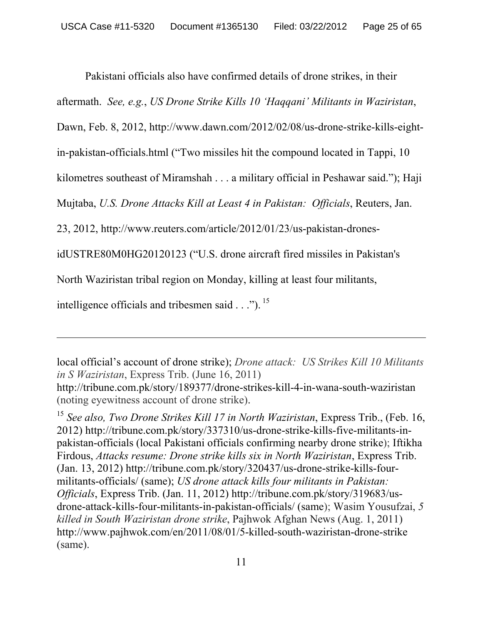Pakistani officials also have confirmed details of drone strikes, in their

aftermath. *See, e.g.*, *US Drone Strike Kills 10 'Haqqani' Militants in Waziristan*,

Dawn, Feb. 8, 2012, http://www.dawn.com/2012/02/08/us-drone-strike-kills-eight-

in-pakistan-officials.html ("Two missiles hit the compound located in Tappi, 10

kilometres southeast of Miramshah . . . a military official in Peshawar said."); Haji

Mujtaba, *U.S. Drone Attacks Kill at Least 4 in Pakistan: Officials*, Reuters, Jan.

23, 2012, http://www.reuters.com/article/2012/01/23/us-pakistan-drones-

idUSTRE80M0HG20120123 ("U.S. drone aircraft fired missiles in Pakistan's

North Waziristan tribal region on Monday, killing at least four militants,

intelligence officials and tribesmen said . . ."). 15

 $\overline{a}$ 

local official's account of drone strike); *Drone attack: US Strikes Kill 10 Militants in S Waziristan*, Express Trib. (June 16, 2011) http://tribune.com.pk/story/189377/drone-strikes-kill-4-in-wana-south-waziristan

<sup>15</sup> *See also, Two Drone Strikes Kill 17 in North Waziristan*, Express Trib., (Feb. 16, 2012) http://tribune.com.pk/story/337310/us-drone-strike-kills-five-militants-inpakistan-officials (local Pakistani officials confirming nearby drone strike); Iftikha Firdous, *Attacks resume: Drone strike kills six in North Waziristan*, Express Trib. (Jan. 13, 2012) http://tribune.com.pk/story/320437/us-drone-strike-kills-fourmilitants-officials/ (same); *US drone attack kills four militants in Pakistan: Officials*, Express Trib. (Jan. 11, 2012) http://tribune.com.pk/story/319683/usdrone-attack-kills-four-militants-in-pakistan-officials/ (same); Wasim Yousufzai, *5 killed in South Waziristan drone strike*, Pajhwok Afghan News (Aug. 1, 2011) http://www.pajhwok.com/en/2011/08/01/5-killed-south-waziristan-drone-strike (same).

<sup>(</sup>noting eyewitness account of drone strike).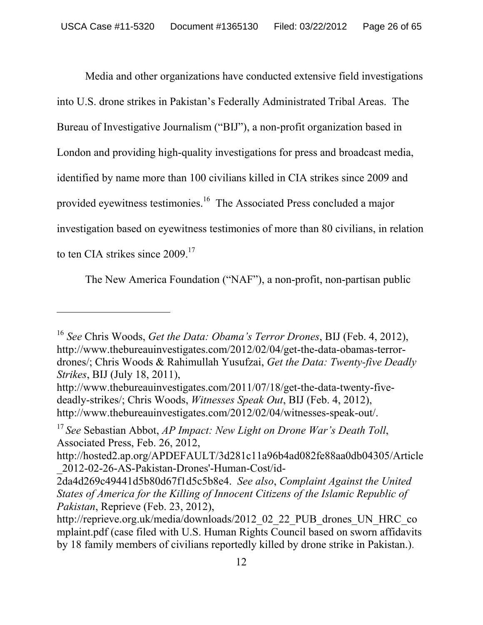Media and other organizations have conducted extensive field investigations into U.S. drone strikes in Pakistan's Federally Administrated Tribal Areas. The Bureau of Investigative Journalism ("BIJ"), a non-profit organization based in London and providing high-quality investigations for press and broadcast media, identified by name more than 100 civilians killed in CIA strikes since 2009 and provided eyewitness testimonies.16 The Associated Press concluded a major investigation based on eyewitness testimonies of more than 80 civilians, in relation to ten CIA strikes since 2009.<sup>17</sup>

The New America Foundation ("NAF"), a non-profit, non-partisan public

<sup>16</sup> *See* Chris Woods, *Get the Data: Obama's Terror Drones*, BIJ (Feb. 4, 2012), http://www.thebureauinvestigates.com/2012/02/04/get-the-data-obamas-terrordrones/; Chris Woods & Rahimullah Yusufzai, *Get the Data: Twenty-five Deadly Strikes*, BIJ (July 18, 2011),

http://www.thebureauinvestigates.com/2011/07/18/get-the-data-twenty-fivedeadly-strikes/; Chris Woods, *Witnesses Speak Out*, BIJ (Feb. 4, 2012), http://www.thebureauinvestigates.com/2012/02/04/witnesses-speak-out/.

<sup>17</sup>*See* Sebastian Abbot, *AP Impact: New Light on Drone War's Death Toll*, Associated Press, Feb. 26, 2012,

http://hosted2.ap.org/APDEFAULT/3d281c11a96b4ad082fe88aa0db04305/Article \_2012-02-26-AS-Pakistan-Drones'-Human-Cost/id-

<sup>2</sup>da4d269c49441d5b80d67f1d5c5b8e4. *See also*, *Complaint Against the United States of America for the Killing of Innocent Citizens of the Islamic Republic of Pakistan*, Reprieve (Feb. 23, 2012),

http://reprieve.org.uk/media/downloads/2012\_02\_22\_PUB\_drones\_UN\_HRC\_co mplaint.pdf (case filed with U.S. Human Rights Council based on sworn affidavits by 18 family members of civilians reportedly killed by drone strike in Pakistan.).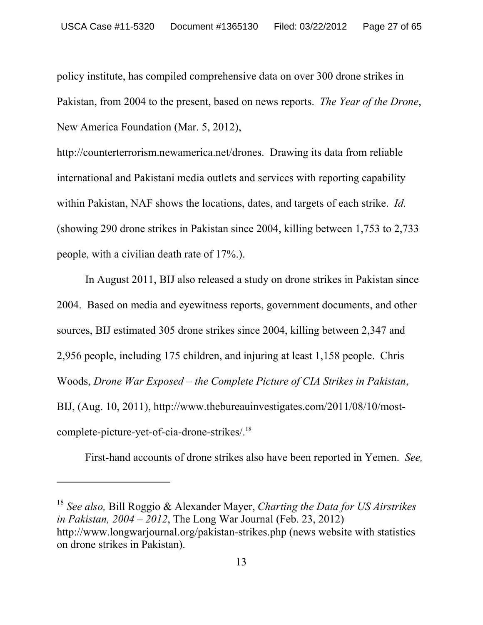policy institute, has compiled comprehensive data on over 300 drone strikes in Pakistan, from 2004 to the present, based on news reports. *The Year of the Drone*, New America Foundation (Mar. 5, 2012),

http://counterterrorism.newamerica.net/drones.Drawing its data from reliable international and Pakistani media outlets and services with reporting capability within Pakistan, NAF shows the locations, dates, and targets of each strike. *Id.*  (showing 290 drone strikes in Pakistan since 2004, killing between 1,753 to 2,733 people, with a civilian death rate of 17%.).

In August 2011, BIJ also released a study on drone strikes in Pakistan since 2004. Based on media and eyewitness reports, government documents, and other sources, BIJ estimated 305 drone strikes since 2004, killing between 2,347 and 2,956 people, including 175 children, and injuring at least 1,158 people. Chris Woods, *Drone War Exposed – the Complete Picture of CIA Strikes in Pakistan*, BIJ, (Aug. 10, 2011), http://www.thebureauinvestigates.com/2011/08/10/mostcomplete-picture-yet-of-cia-drone-strikes/.18

First-hand accounts of drone strikes also have been reported in Yemen. *See,* 

<sup>18</sup> *See also,* Bill Roggio & Alexander Mayer, *Charting the Data for US Airstrikes in Pakistan, 2004 – 2012*, The Long War Journal (Feb. 23, 2012) http://www.longwarjournal.org/pakistan-strikes.php (news website with statistics on drone strikes in Pakistan).

-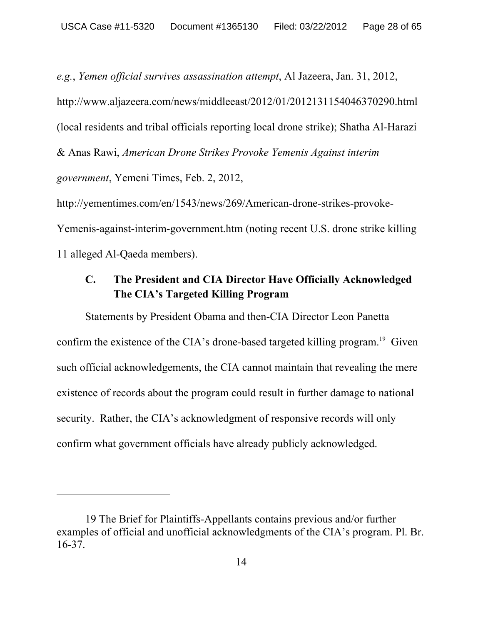*e.g.*, *Yemen official survives assassination attempt*, Al Jazeera, Jan. 31, 2012, http://www.aljazeera.com/news/middleeast/2012/01/2012131154046370290.html (local residents and tribal officials reporting local drone strike); Shatha Al-Harazi & Anas Rawi, *American Drone Strikes Provoke Yemenis Against interim government*, Yemeni Times, Feb. 2, 2012, http://yementimes.com/en/1543/news/269/American-drone-strikes-provoke-

Yemenis-against-interim-government.htm (noting recent U.S. drone strike killing 11 alleged Al-Qaeda members).

# **C. The President and CIA Director Have Officially Acknowledged The CIA's Targeted Killing Program**

Statements by President Obama and then-CIA Director Leon Panetta confirm the existence of the CIA's drone-based targeted killing program.<sup>19</sup> Given such official acknowledgements, the CIA cannot maintain that revealing the mere existence of records about the program could result in further damage to national security. Rather, the CIA's acknowledgment of responsive records will only confirm what government officials have already publicly acknowledged.

-

<sup>19</sup> The Brief for Plaintiffs-Appellants contains previous and/or further examples of official and unofficial acknowledgments of the CIA's program. Pl. Br. 16-37.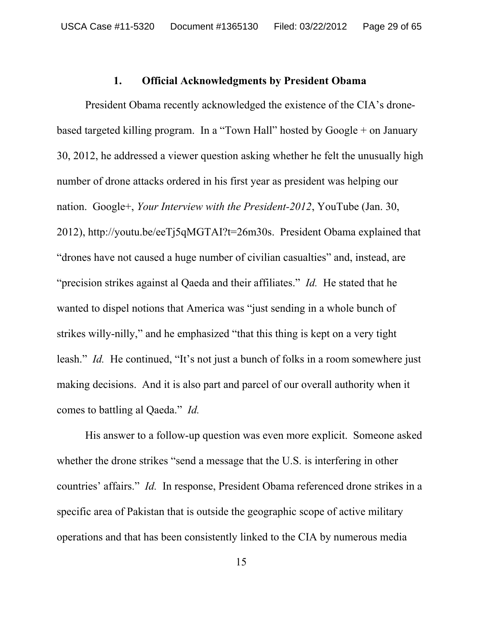#### **1. Official Acknowledgments by President Obama**

 President Obama recently acknowledged the existence of the CIA's dronebased targeted killing program. In a "Town Hall" hosted by Google + on January 30, 2012, he addressed a viewer question asking whether he felt the unusually high number of drone attacks ordered in his first year as president was helping our nation. Google+, *Your Interview with the President-2012*, YouTube (Jan. 30, 2012), http://youtu.be/eeTj5qMGTAI?t=26m30s. President Obama explained that "drones have not caused a huge number of civilian casualties" and, instead, are "precision strikes against al Qaeda and their affiliates." *Id.* He stated that he wanted to dispel notions that America was "just sending in a whole bunch of strikes willy-nilly," and he emphasized "that this thing is kept on a very tight leash." *Id.* He continued, "It's not just a bunch of folks in a room somewhere just making decisions. And it is also part and parcel of our overall authority when it comes to battling al Qaeda." *Id.*

 His answer to a follow-up question was even more explicit. Someone asked whether the drone strikes "send a message that the U.S. is interfering in other countries' affairs." *Id.* In response, President Obama referenced drone strikes in a specific area of Pakistan that is outside the geographic scope of active military operations and that has been consistently linked to the CIA by numerous media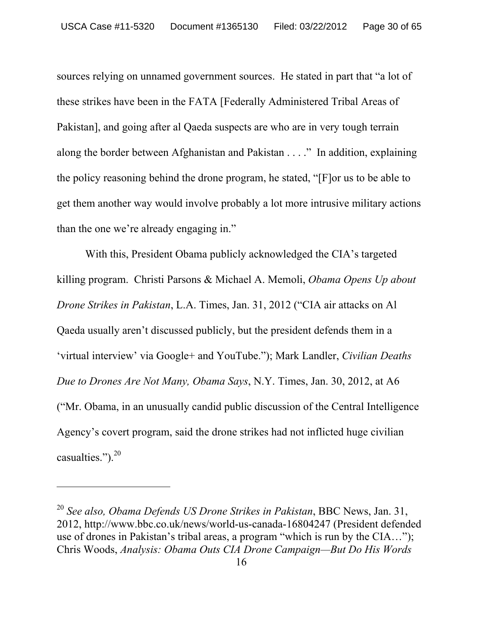sources relying on unnamed government sources. He stated in part that "a lot of these strikes have been in the FATA [Federally Administered Tribal Areas of Pakistan], and going after al Qaeda suspects are who are in very tough terrain along the border between Afghanistan and Pakistan . . . ." In addition, explaining the policy reasoning behind the drone program, he stated, "[F]or us to be able to get them another way would involve probably a lot more intrusive military actions than the one we're already engaging in."

With this, President Obama publicly acknowledged the CIA's targeted killing program. Christi Parsons & Michael A. Memoli, *Obama Opens Up about Drone Strikes in Pakistan*, L.A. Times, Jan. 31, 2012 ("CIA air attacks on Al Qaeda usually aren't discussed publicly, but the president defends them in a 'virtual interview' via Google+ and YouTube."); Mark Landler, *Civilian Deaths Due to Drones Are Not Many, Obama Says*, N.Y. Times, Jan. 30, 2012, at A6 ("Mr. Obama, in an unusually candid public discussion of the Central Intelligence Agency's covert program, said the drone strikes had not inflicted huge civilian casualties.").<sup>20</sup>

<sup>20</sup> *See also, Obama Defends US Drone Strikes in Pakistan*, BBC News, Jan. 31, 2012, http://www.bbc.co.uk/news/world-us-canada-16804247 (President defended use of drones in Pakistan's tribal areas, a program "which is run by the CIA…"); Chris Woods, *Analysis: Obama Outs CIA Drone Campaign—But Do His Words*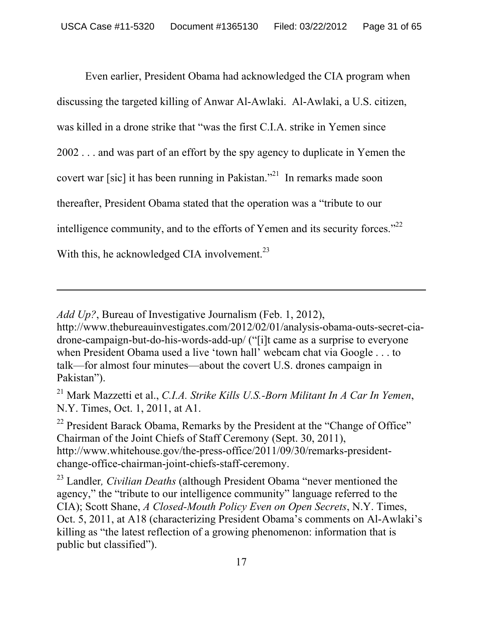Even earlier, President Obama had acknowledged the CIA program when discussing the targeted killing of Anwar Al-Awlaki. Al-Awlaki, a U.S. citizen, was killed in a drone strike that "was the first C.I.A. strike in Yemen since 2002 . . . and was part of an effort by the spy agency to duplicate in Yemen the covert war [sic] it has been running in Pakistan."21 In remarks made soon thereafter, President Obama stated that the operation was a "tribute to our intelligence community, and to the efforts of Yemen and its security forces.<sup> $22$ </sup> With this, he acknowledged CIA involvement.<sup>23</sup>

*Add Up?*, Bureau of Investigative Journalism (Feb. 1, 2012),

 $\overline{a}$ 

http://www.thebureauinvestigates.com/2012/02/01/analysis-obama-outs-secret-ciadrone-campaign-but-do-his-words-add-up/ ("[i]t came as a surprise to everyone when President Obama used a live 'town hall' webcam chat via Google . . . to talk—for almost four minutes—about the covert U.S. drones campaign in Pakistan").

21 Mark Mazzetti et al., *C.I.A. Strike Kills U.S.-Born Militant In A Car In Yemen*, N.Y. Times, Oct. 1, 2011, at A1.

<sup>22</sup> President Barack Obama, Remarks by the President at the "Change of Office" Chairman of the Joint Chiefs of Staff Ceremony (Sept. 30, 2011), http://www.whitehouse.gov/the-press-office/2011/09/30/remarks-presidentchange-office-chairman-joint-chiefs-staff-ceremony.

23 Landler*, Civilian Deaths* (although President Obama "never mentioned the agency," the "tribute to our intelligence community" language referred to the CIA); Scott Shane, *A Closed-Mouth Policy Even on Open Secrets*, N.Y. Times, Oct. 5, 2011, at A18 (characterizing President Obama's comments on Al-Awlaki's killing as "the latest reflection of a growing phenomenon: information that is public but classified").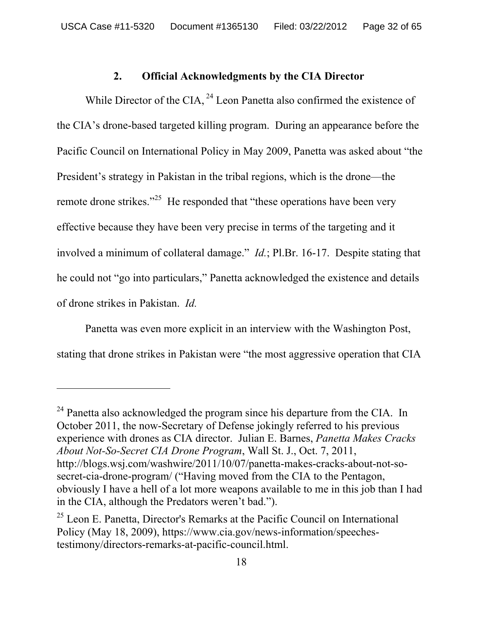### **2. Official Acknowledgments by the CIA Director**

While Director of the CIA,  $^{24}$  Leon Panetta also confirmed the existence of the CIA's drone-based targeted killing program. During an appearance before the Pacific Council on International Policy in May 2009, Panetta was asked about "the President's strategy in Pakistan in the tribal regions, which is the drone—the remote drone strikes."<sup>25</sup> He responded that "these operations have been very effective because they have been very precise in terms of the targeting and it involved a minimum of collateral damage." *Id.*; Pl.Br. 16-17. Despite stating that he could not "go into particulars," Panetta acknowledged the existence and details of drone strikes in Pakistan. *Id.*

Panetta was even more explicit in an interview with the Washington Post, stating that drone strikes in Pakistan were "the most aggressive operation that CIA

 $^{24}$  Panetta also acknowledged the program since his departure from the CIA. In October 2011, the now-Secretary of Defense jokingly referred to his previous experience with drones as CIA director. Julian E. Barnes, *Panetta Makes Cracks About Not-So-Secret CIA Drone Program*, Wall St. J., Oct. 7, 2011, http://blogs.wsj.com/washwire/2011/10/07/panetta-makes-cracks-about-not-sosecret-cia-drone-program/ ("Having moved from the CIA to the Pentagon, obviously I have a hell of a lot more weapons available to me in this job than I had in the CIA, although the Predators weren't bad.").

 $25$  Leon E. Panetta, Director's Remarks at the Pacific Council on International Policy (May 18, 2009), https://www.cia.gov/news-information/speechestestimony/directors-remarks-at-pacific-council.html.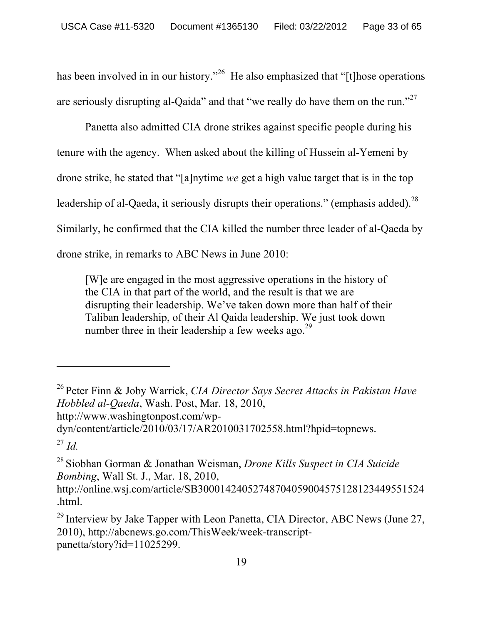has been involved in in our history."<sup>26</sup> He also emphasized that "[t]hose operations are seriously disrupting al-Qaida" and that "we really do have them on the run."<sup>27</sup>

Panetta also admitted CIA drone strikes against specific people during his tenure with the agency. When asked about the killing of Hussein al-Yemeni by drone strike, he stated that "[a]nytime *we* get a high value target that is in the top leadership of al-Qaeda, it seriously disrupts their operations." (emphasis added).<sup>28</sup> Similarly, he confirmed that the CIA killed the number three leader of al-Qaeda by drone strike, in remarks to ABC News in June 2010:

[W]e are engaged in the most aggressive operations in the history of the CIA in that part of the world, and the result is that we are disrupting their leadership. We've taken down more than half of their Taliban leadership, of their Al Qaida leadership. We just took down number three in their leadership a few weeks ago.<sup>29</sup>

-

<sup>26</sup> Peter Finn & Joby Warrick, *CIA Director Says Secret Attacks in Pakistan Have Hobbled al-Qaeda*, Wash. Post, Mar. 18, 2010, http://www.washingtonpost.com/wp-

dyn/content/article/2010/03/17/AR2010031702558.html?hpid=topnews. <sup>27</sup> *Id.*

<sup>28</sup> Siobhan Gorman & Jonathan Weisman, *Drone Kills Suspect in CIA Suicide Bombing*, Wall St. J., Mar. 18, 2010,

http://online.wsj.com/article/SB30001424052748704059004575128123449551524 .html.

 $29$  Interview by Jake Tapper with Leon Panetta, CIA Director, ABC News (June 27, 2010), http://abcnews.go.com/ThisWeek/week-transcriptpanetta/story?id=11025299.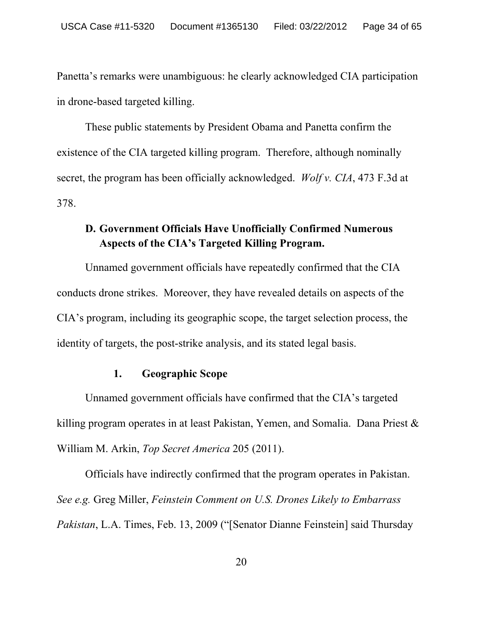Panetta's remarks were unambiguous: he clearly acknowledged CIA participation in drone-based targeted killing.

These public statements by President Obama and Panetta confirm the existence of the CIA targeted killing program. Therefore, although nominally secret, the program has been officially acknowledged. *Wolf v. CIA*, 473 F.3d at 378.

# **D. Government Officials Have Unofficially Confirmed Numerous Aspects of the CIA's Targeted Killing Program.**

Unnamed government officials have repeatedly confirmed that the CIA conducts drone strikes. Moreover, they have revealed details on aspects of the CIA's program, including its geographic scope, the target selection process, the identity of targets, the post-strike analysis, and its stated legal basis.

### **1. Geographic Scope**

Unnamed government officials have confirmed that the CIA's targeted killing program operates in at least Pakistan, Yemen, and Somalia. Dana Priest & William M. Arkin, *Top Secret America* 205 (2011).

Officials have indirectly confirmed that the program operates in Pakistan. *See e.g.* Greg Miller, *Feinstein Comment on U.S. Drones Likely to Embarrass Pakistan*, L.A. Times, Feb. 13, 2009 ("[Senator Dianne Feinstein] said Thursday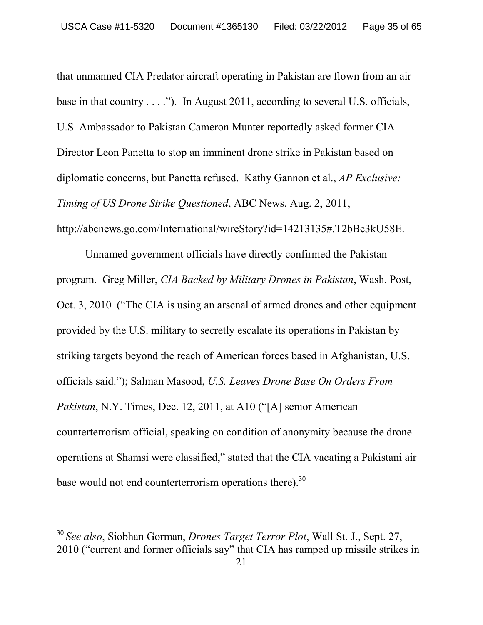that unmanned CIA Predator aircraft operating in Pakistan are flown from an air base in that country . . . ."). In August 2011, according to several U.S. officials, U.S. Ambassador to Pakistan Cameron Munter reportedly asked former CIA Director Leon Panetta to stop an imminent drone strike in Pakistan based on diplomatic concerns, but Panetta refused. Kathy Gannon et al., *AP Exclusive: Timing of US Drone Strike Questioned*, ABC News, Aug. 2, 2011, http://abcnews.go.com/International/wireStory?id=14213135#.T2bBc3kU58E.

Unnamed government officials have directly confirmed the Pakistan program. Greg Miller, *CIA Backed by Military Drones in Pakistan*, Wash. Post, Oct. 3, 2010 ("The CIA is using an arsenal of armed drones and other equipment provided by the U.S. military to secretly escalate its operations in Pakistan by striking targets beyond the reach of American forces based in Afghanistan, U.S. officials said."); Salman Masood, *U.S. Leaves Drone Base On Orders From Pakistan*, N.Y. Times, Dec. 12, 2011, at A10 ("[A] senior American counterterrorism official, speaking on condition of anonymity because the drone operations at Shamsi were classified," stated that the CIA vacating a Pakistani air base would not end counterterrorism operations there). $30$ 

-

<sup>30</sup>*See also*, Siobhan Gorman, *Drones Target Terror Plot*, Wall St. J., Sept. 27, 2010 ("current and former officials say" that CIA has ramped up missile strikes in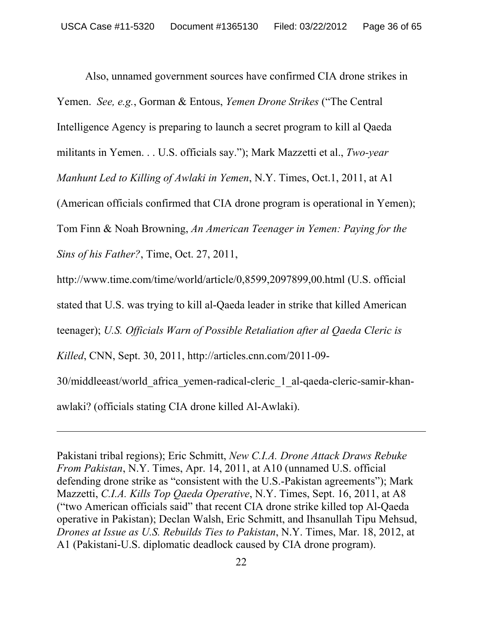Also, unnamed government sources have confirmed CIA drone strikes in Yemen. *See, e.g.*, Gorman & Entous, *Yemen Drone Strikes* ("The Central Intelligence Agency is preparing to launch a secret program to kill al Qaeda militants in Yemen. . . U.S. officials say."); Mark Mazzetti et al., *Two-year Manhunt Led to Killing of Awlaki in Yemen*, N.Y. Times, Oct.1, 2011, at A1 (American officials confirmed that CIA drone program is operational in Yemen); Tom Finn & Noah Browning, *An American Teenager in Yemen: Paying for the Sins of his Father?*, Time, Oct. 27, 2011, http://www.time.com/time/world/article/0,8599,2097899,00.html (U.S. official stated that U.S. was trying to kill al-Qaeda leader in strike that killed American teenager); *U.S. Officials Warn of Possible Retaliation after al Qaeda Cleric is Killed*, CNN, Sept. 30, 2011, http://articles.cnn.com/2011-09-

30/middleeast/world\_africa\_yemen-radical-cleric\_1\_al-qaeda-cleric-samir-khan-

awlaki? (officials stating CIA drone killed Al-Awlaki).

 $\overline{a}$ 

Pakistani tribal regions); Eric Schmitt, *New C.I.A. Drone Attack Draws Rebuke From Pakistan*, N.Y. Times, Apr. 14, 2011, at A10 (unnamed U.S. official defending drone strike as "consistent with the U.S.-Pakistan agreements"); Mark Mazzetti, *C.I.A. Kills Top Qaeda Operative*, N.Y. Times, Sept. 16, 2011, at A8 ("two American officials said" that recent CIA drone strike killed top Al-Qaeda operative in Pakistan); Declan Walsh, Eric Schmitt, and Ihsanullah Tipu Mehsud, *Drones at Issue as U.S. Rebuilds Ties to Pakistan*, N.Y. Times, Mar. 18, 2012, at A1 (Pakistani-U.S. diplomatic deadlock caused by CIA drone program).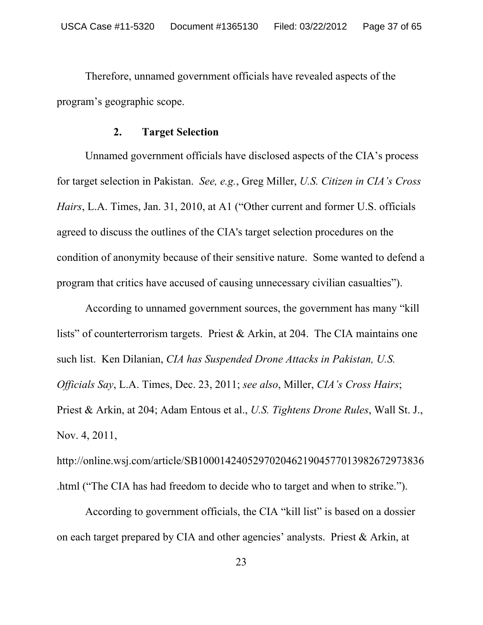Therefore, unnamed government officials have revealed aspects of the program's geographic scope.

#### **2. Target Selection**

Unnamed government officials have disclosed aspects of the CIA's process for target selection in Pakistan. *See, e.g.*, Greg Miller, *U.S. Citizen in CIA's Cross Hairs*, L.A. Times, Jan. 31, 2010, at A1 ("Other current and former U.S. officials agreed to discuss the outlines of the CIA's target selection procedures on the condition of anonymity because of their sensitive nature. Some wanted to defend a program that critics have accused of causing unnecessary civilian casualties").

According to unnamed government sources, the government has many "kill lists" of counterterrorism targets. Priest & Arkin, at 204. The CIA maintains one such list. Ken Dilanian, *CIA has Suspended Drone Attacks in Pakistan, U.S. Officials Say*, L.A. Times, Dec. 23, 2011; *see also*, Miller, *CIA's Cross Hairs*; Priest & Arkin, at 204; Adam Entous et al., *U.S. Tightens Drone Rules*, Wall St. J., Nov. 4, 2011,

http://online.wsj.com/article/SB10001424052970204621904577013982672973836 .html ("The CIA has had freedom to decide who to target and when to strike.").

According to government officials, the CIA "kill list" is based on a dossier on each target prepared by CIA and other agencies' analysts. Priest & Arkin, at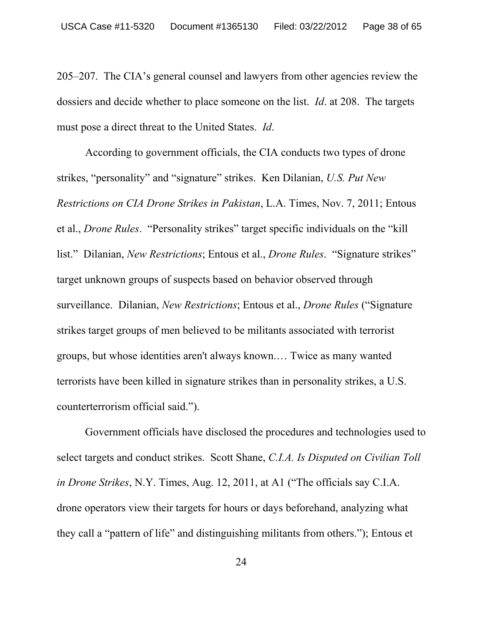205–207. The CIA's general counsel and lawyers from other agencies review the dossiers and decide whether to place someone on the list. *Id*. at 208. The targets must pose a direct threat to the United States. *Id*.

According to government officials, the CIA conducts two types of drone strikes, "personality" and "signature" strikes. Ken Dilanian, *U.S. Put New Restrictions on CIA Drone Strikes in Pakistan*, L.A. Times, Nov. 7, 2011; Entous et al., *Drone Rules*. "Personality strikes" target specific individuals on the "kill list." Dilanian, *New Restrictions*; Entous et al., *Drone Rules*. "Signature strikes" target unknown groups of suspects based on behavior observed through surveillance. Dilanian, *New Restrictions*; Entous et al., *Drone Rules* ("Signature strikes target groups of men believed to be militants associated with terrorist groups, but whose identities aren't always known.… Twice as many wanted terrorists have been killed in signature strikes than in personality strikes, a U.S. counterterrorism official said.").

 Government officials have disclosed the procedures and technologies used to select targets and conduct strikes. Scott Shane, *C.I.A. Is Disputed on Civilian Toll in Drone Strikes*, N.Y. Times, Aug. 12, 2011, at A1 ("The officials say C.I.A. drone operators view their targets for hours or days beforehand, analyzing what they call a "pattern of life" and distinguishing militants from others."); Entous et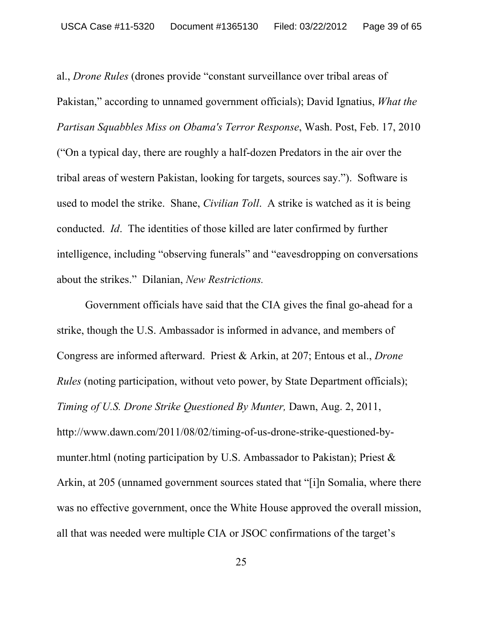al., *Drone Rules* (drones provide "constant surveillance over tribal areas of Pakistan," according to unnamed government officials); David Ignatius, *What the Partisan Squabbles Miss on Obama's Terror Response*, Wash. Post, Feb. 17, 2010 ("On a typical day, there are roughly a half-dozen Predators in the air over the tribal areas of western Pakistan, looking for targets, sources say."). Software is used to model the strike. Shane, *Civilian Toll*. A strike is watched as it is being conducted. *Id*. The identities of those killed are later confirmed by further intelligence, including "observing funerals" and "eavesdropping on conversations about the strikes." Dilanian, *New Restrictions.*

 Government officials have said that the CIA gives the final go-ahead for a strike, though the U.S. Ambassador is informed in advance, and members of Congress are informed afterward. Priest & Arkin, at 207; Entous et al., *Drone Rules* (noting participation, without veto power, by State Department officials); *Timing of U.S. Drone Strike Questioned By Munter,* Dawn, Aug. 2, 2011, http://www.dawn.com/2011/08/02/timing-of-us-drone-strike-questioned-bymunter.html (noting participation by U.S. Ambassador to Pakistan); Priest & Arkin, at 205 (unnamed government sources stated that "[i]n Somalia, where there was no effective government, once the White House approved the overall mission, all that was needed were multiple CIA or JSOC confirmations of the target's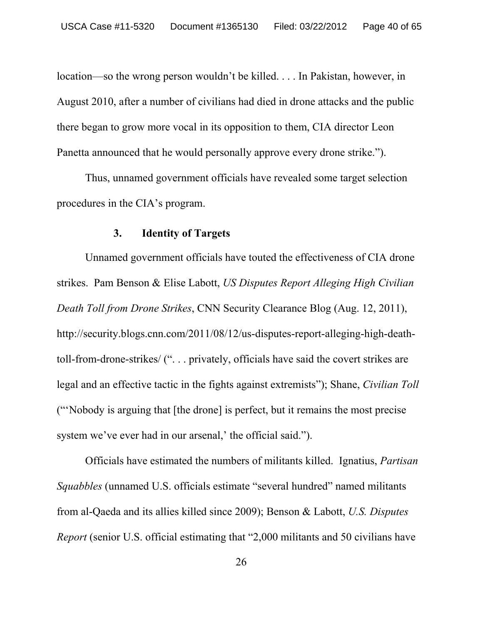location—so the wrong person wouldn't be killed. . . . In Pakistan, however, in August 2010, after a number of civilians had died in drone attacks and the public there began to grow more vocal in its opposition to them, CIA director Leon Panetta announced that he would personally approve every drone strike.").

 Thus, unnamed government officials have revealed some target selection procedures in the CIA's program.

#### **3. Identity of Targets**

 Unnamed government officials have touted the effectiveness of CIA drone strikes. Pam Benson & Elise Labott, *US Disputes Report Alleging High Civilian Death Toll from Drone Strikes*, CNN Security Clearance Blog (Aug. 12, 2011), http://security.blogs.cnn.com/2011/08/12/us-disputes-report-alleging-high-deathtoll-from-drone-strikes/ (". . . privately, officials have said the covert strikes are legal and an effective tactic in the fights against extremists"); Shane, *Civilian Toll* ("'Nobody is arguing that [the drone] is perfect, but it remains the most precise system we've ever had in our arsenal,' the official said.").

 Officials have estimated the numbers of militants killed. Ignatius, *Partisan Squabbles* (unnamed U.S. officials estimate "several hundred" named militants from al-Qaeda and its allies killed since 2009); Benson & Labott, *U.S. Disputes Report* (senior U.S. official estimating that "2,000 militants and 50 civilians have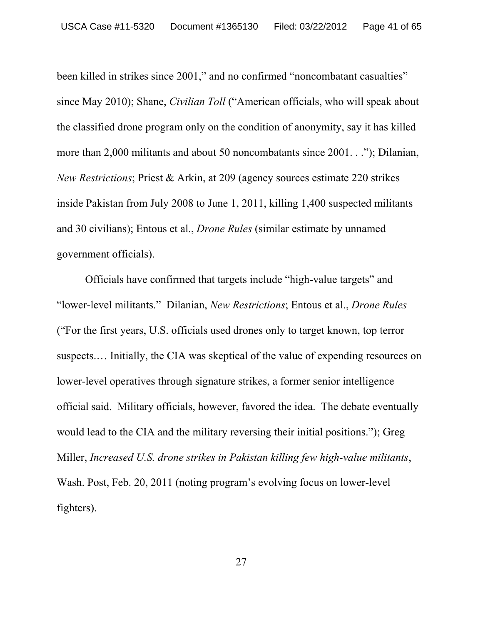been killed in strikes since 2001," and no confirmed "noncombatant casualties" since May 2010); Shane, *Civilian Toll* ("American officials, who will speak about the classified drone program only on the condition of anonymity, say it has killed more than 2,000 militants and about 50 noncombatants since 2001. . ."); Dilanian, *New Restrictions*; Priest & Arkin, at 209 (agency sources estimate 220 strikes inside Pakistan from July 2008 to June 1, 2011, killing 1,400 suspected militants and 30 civilians); Entous et al., *Drone Rules* (similar estimate by unnamed government officials).

 Officials have confirmed that targets include "high-value targets" and "lower-level militants." Dilanian, *New Restrictions*; Entous et al., *Drone Rules* ("For the first years, U.S. officials used drones only to target known, top terror suspects.… Initially, the CIA was skeptical of the value of expending resources on lower-level operatives through signature strikes, a former senior intelligence official said. Military officials, however, favored the idea. The debate eventually would lead to the CIA and the military reversing their initial positions."); Greg Miller, *Increased U.S. drone strikes in Pakistan killing few high-value militants*, Wash. Post, Feb. 20, 2011 (noting program's evolving focus on lower-level fighters).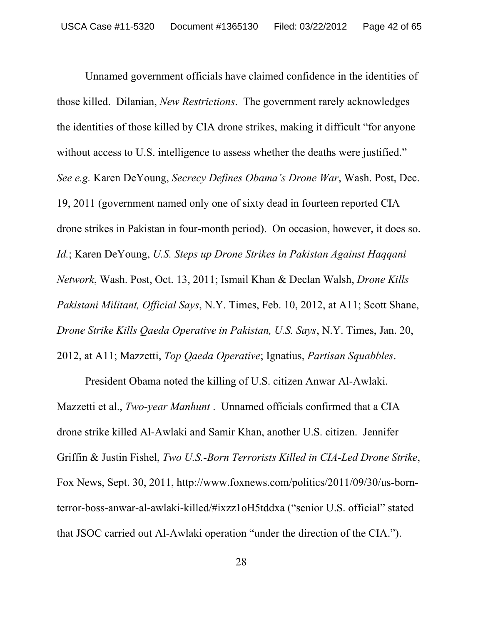Unnamed government officials have claimed confidence in the identities of those killed. Dilanian, *New Restrictions*. The government rarely acknowledges the identities of those killed by CIA drone strikes, making it difficult "for anyone without access to U.S. intelligence to assess whether the deaths were justified." *See e.g.* Karen DeYoung, *Secrecy Defines Obama's Drone War*, Wash. Post, Dec. 19, 2011 (government named only one of sixty dead in fourteen reported CIA drone strikes in Pakistan in four-month period). On occasion, however, it does so. *Id.*; Karen DeYoung, *U.S. Steps up Drone Strikes in Pakistan Against Haqqani Network*, Wash. Post, Oct. 13, 2011; Ismail Khan & Declan Walsh, *Drone Kills Pakistani Militant, Official Says*, N.Y. Times, Feb. 10, 2012, at A11; Scott Shane, *Drone Strike Kills Qaeda Operative in Pakistan, U.S. Says*, N.Y. Times, Jan. 20, 2012, at A11; Mazzetti, *Top Qaeda Operative*; Ignatius, *Partisan Squabbles*.

President Obama noted the killing of U.S. citizen Anwar Al-Awlaki. Mazzetti et al., *Two-year Manhunt* . Unnamed officials confirmed that a CIA drone strike killed Al-Awlaki and Samir Khan, another U.S. citizen. Jennifer Griffin & Justin Fishel, *Two U.S.-Born Terrorists Killed in CIA-Led Drone Strike*, Fox News, Sept. 30, 2011, http://www.foxnews.com/politics/2011/09/30/us-bornterror-boss-anwar-al-awlaki-killed/#ixzz1oH5tddxa ("senior U.S. official" stated that JSOC carried out Al-Awlaki operation "under the direction of the CIA.").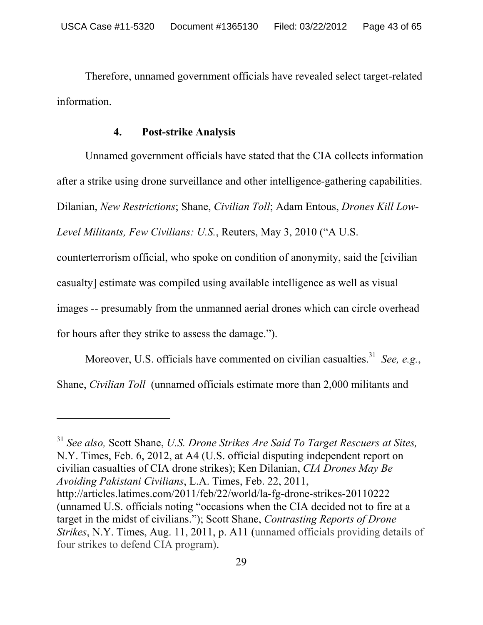Therefore, unnamed government officials have revealed select target-related information.

#### **4. Post-strike Analysis**

Unnamed government officials have stated that the CIA collects information after a strike using drone surveillance and other intelligence-gathering capabilities. Dilanian, *New Restrictions*; Shane, *Civilian Toll*; Adam Entous, *Drones Kill Low-*

*Level Militants, Few Civilians: U.S.*, Reuters, May 3, 2010 ("A U.S.

counterterrorism official, who spoke on condition of anonymity, said the [civilian

casualty] estimate was compiled using available intelligence as well as visual

images -- presumably from the unmanned aerial drones which can circle overhead

for hours after they strike to assess the damage.").

-

Moreover, U.S. officials have commented on civilian casualties.<sup>31</sup> *See, e.g.*, Shane, *Civilian Toll* (unnamed officials estimate more than 2,000 militants and

<sup>31</sup> *See also,* Scott Shane, *U.S. Drone Strikes Are Said To Target Rescuers at Sites,* N.Y. Times, Feb. 6, 2012, at A4 (U.S. official disputing independent report on civilian casualties of CIA drone strikes); Ken Dilanian, *CIA Drones May Be Avoiding Pakistani Civilians*, L.A. Times, Feb. 22, 2011, http://articles.latimes.com/2011/feb/22/world/la-fg-drone-strikes-20110222 (unnamed U.S. officials noting "occasions when the CIA decided not to fire at a target in the midst of civilians."); Scott Shane, *Contrasting Reports of Drone Strikes*, N.Y. Times, Aug. 11, 2011, p. A11 (unnamed officials providing details of four strikes to defend CIA program).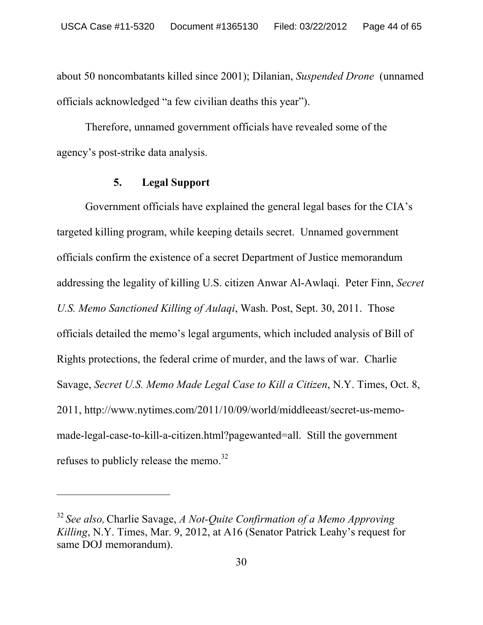about 50 noncombatants killed since 2001); Dilanian, *Suspended Drone* (unnamed officials acknowledged "a few civilian deaths this year").

 Therefore, unnamed government officials have revealed some of the agency's post-strike data analysis.

### **5. Legal Support**

 $\overline{a}$ 

Government officials have explained the general legal bases for the CIA's targeted killing program, while keeping details secret. Unnamed government officials confirm the existence of a secret Department of Justice memorandum addressing the legality of killing U.S. citizen Anwar Al-Awlaqi. Peter Finn, *Secret U.S. Memo Sanctioned Killing of Aulaqi*, Wash. Post, Sept. 30, 2011. Those officials detailed the memo's legal arguments, which included analysis of Bill of Rights protections, the federal crime of murder, and the laws of war. Charlie Savage, *Secret U.S. Memo Made Legal Case to Kill a Citizen*, N.Y. Times, Oct. 8, 2011, http://www.nytimes.com/2011/10/09/world/middleeast/secret-us-memomade-legal-case-to-kill-a-citizen.html?pagewanted=all. Still the government refuses to publicly release the memo.<sup>32</sup>

<sup>32</sup>*See also,*Charlie Savage, *A Not-Quite Confirmation of a Memo Approving Killing*, N.Y. Times, Mar. 9, 2012, at A16 (Senator Patrick Leahy's request for same DOJ memorandum).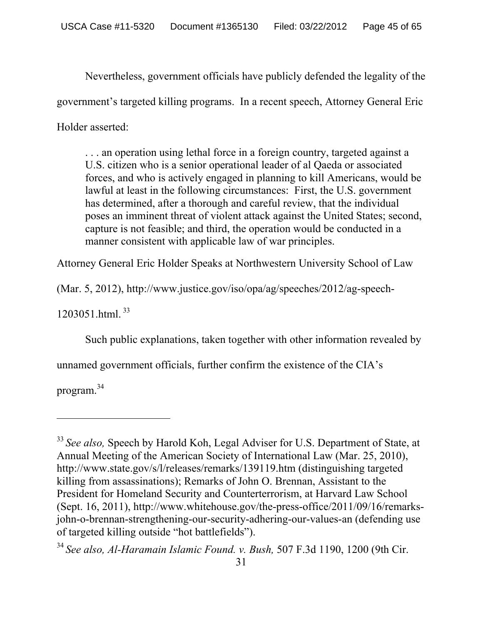Nevertheless, government officials have publicly defended the legality of the government's targeted killing programs. In a recent speech, Attorney General Eric Holder asserted:

. . . an operation using lethal force in a foreign country, targeted against a U.S. citizen who is a senior operational leader of al Qaeda or associated forces, and who is actively engaged in planning to kill Americans, would be lawful at least in the following circumstances: First, the U.S. government has determined, after a thorough and careful review, that the individual poses an imminent threat of violent attack against the United States; second, capture is not feasible; and third, the operation would be conducted in a manner consistent with applicable law of war principles.

Attorney General Eric Holder Speaks at Northwestern University School of Law

(Mar. 5, 2012), http://www.justice.gov/iso/opa/ag/speeches/2012/ag-speech-

1203051.html. 33

Such public explanations, taken together with other information revealed by

unnamed government officials, further confirm the existence of the CIA's

program.34

-

<sup>&</sup>lt;sup>33</sup> See also, Speech by Harold Koh, Legal Adviser for U.S. Department of State, at Annual Meeting of the American Society of International Law (Mar. 25, 2010), http://www.state.gov/s/l/releases/remarks/139119.htm (distinguishing targeted killing from assassinations); Remarks of John O. Brennan, Assistant to the President for Homeland Security and Counterterrorism, at Harvard Law School (Sept. 16, 2011), http://www.whitehouse.gov/the-press-office/2011/09/16/remarksjohn-o-brennan-strengthening-our-security-adhering-our-values-an (defending use of targeted killing outside "hot battlefields").

<sup>34</sup>*See also, Al-Haramain Islamic Found. v. Bush,* 507 F.3d 1190, 1200 (9th Cir.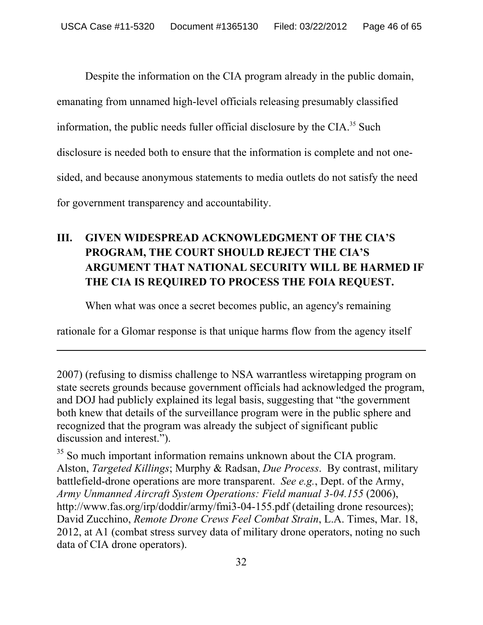Despite the information on the CIA program already in the public domain, emanating from unnamed high-level officials releasing presumably classified information, the public needs fuller official disclosure by the  $CIA$ <sup>35</sup> Such disclosure is needed both to ensure that the information is complete and not onesided, and because anonymous statements to media outlets do not satisfy the need for government transparency and accountability.

# **III. GIVEN WIDESPREAD ACKNOWLEDGMENT OF THE CIA'S PROGRAM, THE COURT SHOULD REJECT THE CIA'S ARGUMENT THAT NATIONAL SECURITY WILL BE HARMED IF THE CIA IS REQUIRED TO PROCESS THE FOIA REQUEST.**

When what was once a secret becomes public, an agency's remaining

rationale for a Glomar response is that unique harms flow from the agency itself

 $\overline{a}$ 

<sup>35</sup> So much important information remains unknown about the CIA program. Alston, *Targeted Killings*; Murphy & Radsan, *Due Process*. By contrast, military battlefield-drone operations are more transparent. *See e.g.*, Dept. of the Army, *Army Unmanned Aircraft System Operations: Field manual 3-04.155* (2006), http://www.fas.org/irp/doddir/army/fmi3-04-155.pdf (detailing drone resources); David Zucchino, *Remote Drone Crews Feel Combat Strain*, L.A. Times, Mar. 18, 2012, at A1 (combat stress survey data of military drone operators, noting no such data of CIA drone operators).

<sup>2007) (</sup>refusing to dismiss challenge to NSA warrantless wiretapping program on state secrets grounds because government officials had acknowledged the program, and DOJ had publicly explained its legal basis, suggesting that "the government both knew that details of the surveillance program were in the public sphere and recognized that the program was already the subject of significant public discussion and interest.").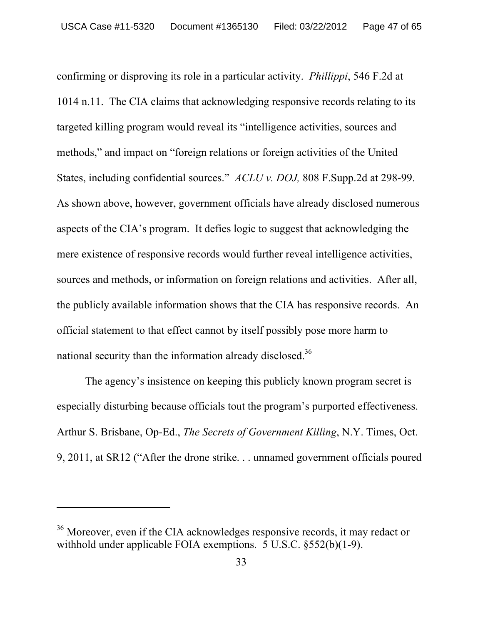confirming or disproving its role in a particular activity. *Phillippi*, 546 F.2d at 1014 n.11. The CIA claims that acknowledging responsive records relating to its targeted killing program would reveal its "intelligence activities, sources and methods," and impact on "foreign relations or foreign activities of the United States, including confidential sources." *ACLU v. DOJ,* 808 F.Supp.2d at 298-99. As shown above, however, government officials have already disclosed numerous aspects of the CIA's program. It defies logic to suggest that acknowledging the mere existence of responsive records would further reveal intelligence activities, sources and methods, or information on foreign relations and activities. After all, the publicly available information shows that the CIA has responsive records. An official statement to that effect cannot by itself possibly pose more harm to national security than the information already disclosed.<sup>36</sup>

The agency's insistence on keeping this publicly known program secret is especially disturbing because officials tout the program's purported effectiveness. Arthur S. Brisbane, Op-Ed., *The Secrets of Government Killing*, N.Y. Times, Oct. 9, 2011, at SR12 ("After the drone strike. . . unnamed government officials poured

<sup>&</sup>lt;sup>36</sup> Moreover, even if the CIA acknowledges responsive records, it may redact or withhold under applicable FOIA exemptions. 5 U.S.C. §552(b)(1-9).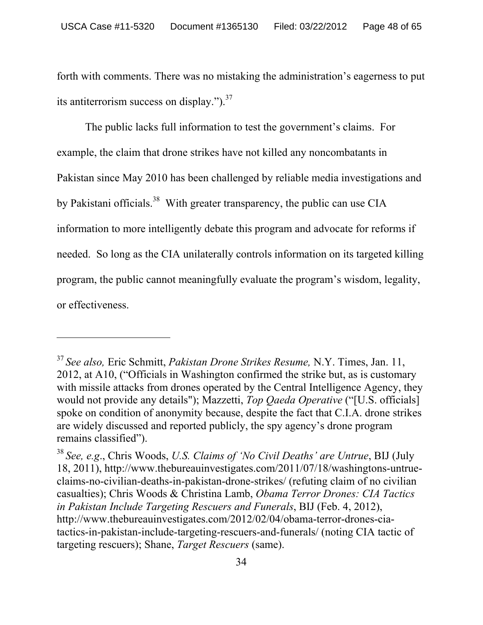forth with comments. There was no mistaking the administration's eagerness to put its antiterrorism success on display." $)^{37}$ 

The public lacks full information to test the government's claims. For example, the claim that drone strikes have not killed any noncombatants in Pakistan since May 2010 has been challenged by reliable media investigations and by Pakistani officials.<sup>38</sup> With greater transparency, the public can use CIA information to more intelligently debate this program and advocate for reforms if needed. So long as the CIA unilaterally controls information on its targeted killing program, the public cannot meaningfully evaluate the program's wisdom, legality, or effectiveness.

-

<sup>37</sup>*See also,* Eric Schmitt, *Pakistan Drone Strikes Resume,* N.Y. Times, Jan. 11, 2012, at A10, ("Officials in Washington confirmed the strike but, as is customary with missile attacks from drones operated by the Central Intelligence Agency, they would not provide any details"); Mazzetti, *Top Qaeda Operative* ("[U.S. officials] spoke on condition of anonymity because, despite the fact that C.I.A. drone strikes are widely discussed and reported publicly, the spy agency's drone program remains classified").

<sup>38</sup>*See, e.g*., Chris Woods, *U.S. Claims of 'No Civil Deaths' are Untrue*, BIJ (July 18, 2011), http://www.thebureauinvestigates.com/2011/07/18/washingtons-untrueclaims-no-civilian-deaths-in-pakistan-drone-strikes/ (refuting claim of no civilian casualties); Chris Woods & Christina Lamb, *Obama Terror Drones: CIA Tactics in Pakistan Include Targeting Rescuers and Funerals*, BIJ (Feb. 4, 2012), http://www.thebureauinvestigates.com/2012/02/04/obama-terror-drones-ciatactics-in-pakistan-include-targeting-rescuers-and-funerals/ (noting CIA tactic of targeting rescuers); Shane, *Target Rescuers* (same).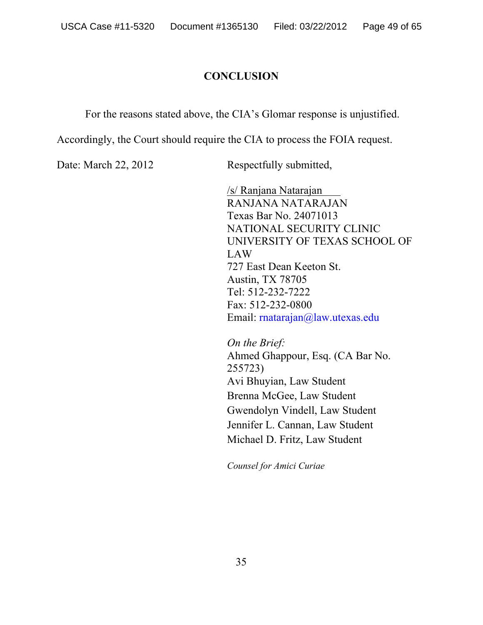# **CONCLUSION**

For the reasons stated above, the CIA's Glomar response is unjustified.

Accordingly, the Court should require the CIA to process the FOIA request.

Date: March 22, 2012 Respectfully submitted,

/s/ Ranjana Natarajan RANJANA NATARAJAN Texas Bar No. 24071013 NATIONAL SECURITY CLINIC UNIVERSITY OF TEXAS SCHOOL OF LAW 727 East Dean Keeton St. Austin, TX 78705 Tel: 512-232-7222 Fax: 512-232-0800 Email: rnatarajan@law.utexas.edu

*On the Brief:*  Ahmed Ghappour, Esq. (CA Bar No. 255723) Avi Bhuyian, Law Student Brenna McGee, Law Student Gwendolyn Vindell, Law Student Jennifer L. Cannan, Law Student Michael D. Fritz, Law Student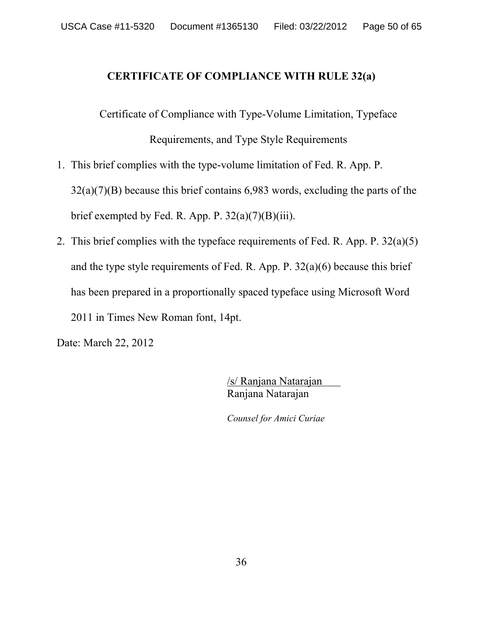# **CERTIFICATE OF COMPLIANCE WITH RULE 32(a)**

Certificate of Compliance with Type-Volume Limitation, Typeface Requirements, and Type Style Requirements

- 1. This brief complies with the type-volume limitation of Fed. R. App. P. 32(a)(7)(B) because this brief contains 6,983 words, excluding the parts of the brief exempted by Fed. R. App. P.  $32(a)(7)(B)(iii)$ .
- 2. This brief complies with the typeface requirements of Fed. R. App. P. 32(a)(5) and the type style requirements of Fed. R. App. P.  $32(a)(6)$  because this brief has been prepared in a proportionally spaced typeface using Microsoft Word 2011 in Times New Roman font, 14pt.

Date: March 22, 2012

/s/ Ranjana Natarajan Ranjana Natarajan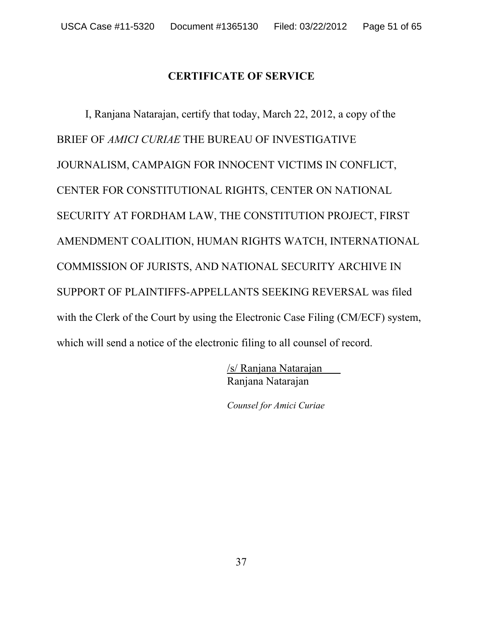# **CERTIFICATE OF SERVICE**

I, Ranjana Natarajan, certify that today, March 22, 2012, a copy of the BRIEF OF *AMICI CURIAE* THE BUREAU OF INVESTIGATIVE JOURNALISM, CAMPAIGN FOR INNOCENT VICTIMS IN CONFLICT, CENTER FOR CONSTITUTIONAL RIGHTS, CENTER ON NATIONAL SECURITY AT FORDHAM LAW, THE CONSTITUTION PROJECT, FIRST AMENDMENT COALITION, HUMAN RIGHTS WATCH, INTERNATIONAL COMMISSION OF JURISTS, AND NATIONAL SECURITY ARCHIVE IN SUPPORT OF PLAINTIFFS-APPELLANTS SEEKING REVERSAL was filed with the Clerk of the Court by using the Electronic Case Filing (CM/ECF) system, which will send a notice of the electronic filing to all counsel of record.

> /s/ Ranjana Natarajan Ranjana Natarajan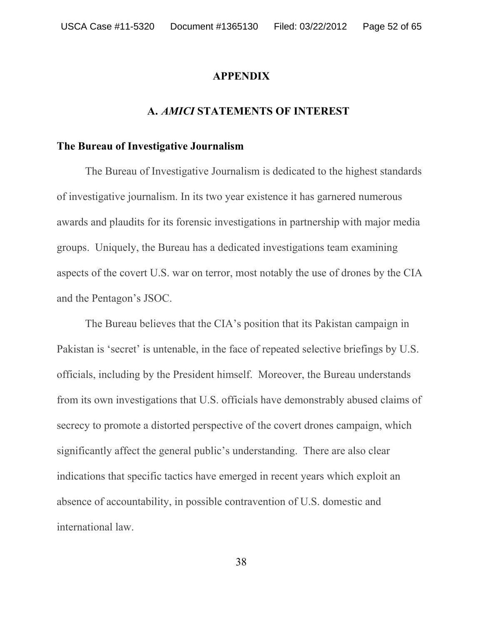#### **APPENDIX**

#### **A.** *AMICI* **STATEMENTS OF INTEREST**

# **The Bureau of Investigative Journalism**

The Bureau of Investigative Journalism is dedicated to the highest standards of investigative journalism. In its two year existence it has garnered numerous awards and plaudits for its forensic investigations in partnership with major media groups. Uniquely, the Bureau has a dedicated investigations team examining aspects of the covert U.S. war on terror, most notably the use of drones by the CIA and the Pentagon's JSOC.

 The Bureau believes that the CIA's position that its Pakistan campaign in Pakistan is 'secret' is untenable, in the face of repeated selective briefings by U.S. officials, including by the President himself. Moreover, the Bureau understands from its own investigations that U.S. officials have demonstrably abused claims of secrecy to promote a distorted perspective of the covert drones campaign, which significantly affect the general public's understanding. There are also clear indications that specific tactics have emerged in recent years which exploit an absence of accountability, in possible contravention of U.S. domestic and international law.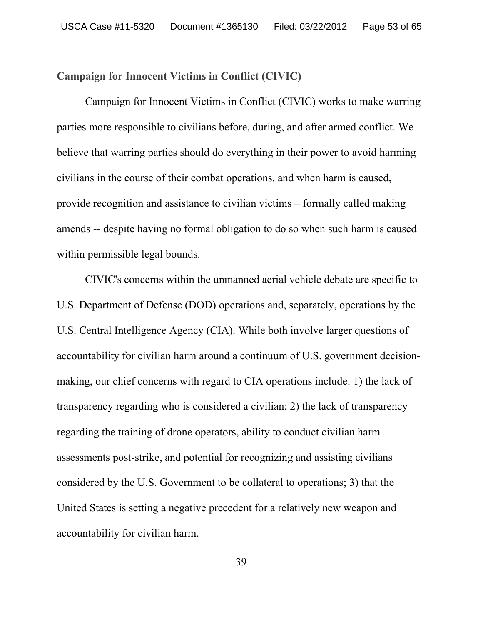#### **Campaign for Innocent Victims in Conflict (CIVIC)**

Campaign for Innocent Victims in Conflict (CIVIC) works to make warring parties more responsible to civilians before, during, and after armed conflict. We believe that warring parties should do everything in their power to avoid harming civilians in the course of their combat operations, and when harm is caused, provide recognition and assistance to civilian victims – formally called making amends -- despite having no formal obligation to do so when such harm is caused within permissible legal bounds.

CIVIC's concerns within the unmanned aerial vehicle debate are specific to U.S. Department of Defense (DOD) operations and, separately, operations by the U.S. Central Intelligence Agency (CIA). While both involve larger questions of accountability for civilian harm around a continuum of U.S. government decisionmaking, our chief concerns with regard to CIA operations include: 1) the lack of transparency regarding who is considered a civilian; 2) the lack of transparency regarding the training of drone operators, ability to conduct civilian harm assessments post-strike, and potential for recognizing and assisting civilians considered by the U.S. Government to be collateral to operations; 3) that the United States is setting a negative precedent for a relatively new weapon and accountability for civilian harm.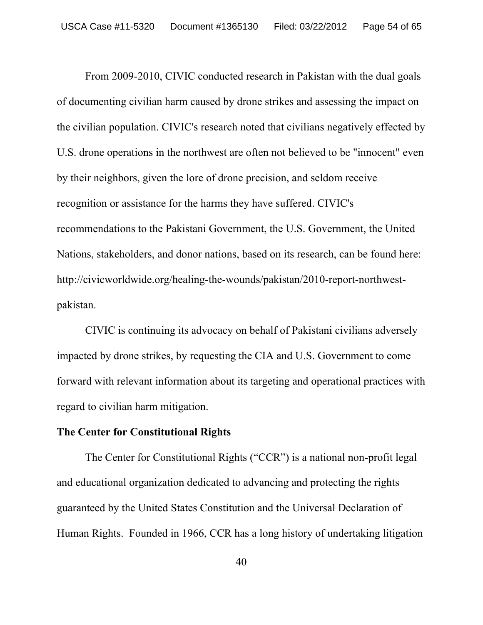From 2009-2010, CIVIC conducted research in Pakistan with the dual goals of documenting civilian harm caused by drone strikes and assessing the impact on the civilian population. CIVIC's research noted that civilians negatively effected by U.S. drone operations in the northwest are often not believed to be "innocent" even by their neighbors, given the lore of drone precision, and seldom receive recognition or assistance for the harms they have suffered. CIVIC's recommendations to the Pakistani Government, the U.S. Government, the United Nations, stakeholders, and donor nations, based on its research, can be found here: http://civicworldwide.org/healing-the-wounds/pakistan/2010-report-northwestpakistan.

CIVIC is continuing its advocacy on behalf of Pakistani civilians adversely impacted by drone strikes, by requesting the CIA and U.S. Government to come forward with relevant information about its targeting and operational practices with regard to civilian harm mitigation.

### **The Center for Constitutional Rights**

The Center for Constitutional Rights ("CCR") is a national non-profit legal and educational organization dedicated to advancing and protecting the rights guaranteed by the United States Constitution and the Universal Declaration of Human Rights. Founded in 1966, CCR has a long history of undertaking litigation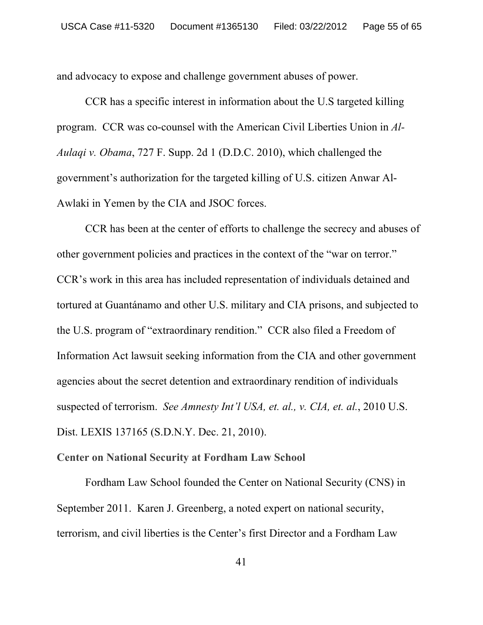and advocacy to expose and challenge government abuses of power.

CCR has a specific interest in information about the U.S targeted killing program. CCR was co-counsel with the American Civil Liberties Union in *Al-Aulaqi v. Obama*, 727 F. Supp. 2d 1 (D.D.C. 2010), which challenged the government's authorization for the targeted killing of U.S. citizen Anwar Al-Awlaki in Yemen by the CIA and JSOC forces.

 CCR has been at the center of efforts to challenge the secrecy and abuses of other government policies and practices in the context of the "war on terror." CCR's work in this area has included representation of individuals detained and tortured at Guantánamo and other U.S. military and CIA prisons, and subjected to the U.S. program of "extraordinary rendition." CCR also filed a Freedom of Information Act lawsuit seeking information from the CIA and other government agencies about the secret detention and extraordinary rendition of individuals suspected of terrorism. *See Amnesty Int'l USA, et. al., v. CIA, et. al.*, 2010 U.S. Dist. LEXIS 137165 (S.D.N.Y. Dec. 21, 2010).

# **Center on National Security at Fordham Law School**

Fordham Law School founded the Center on National Security (CNS) in September 2011. Karen J. Greenberg, a noted expert on national security, terrorism, and civil liberties is the Center's first Director and a Fordham Law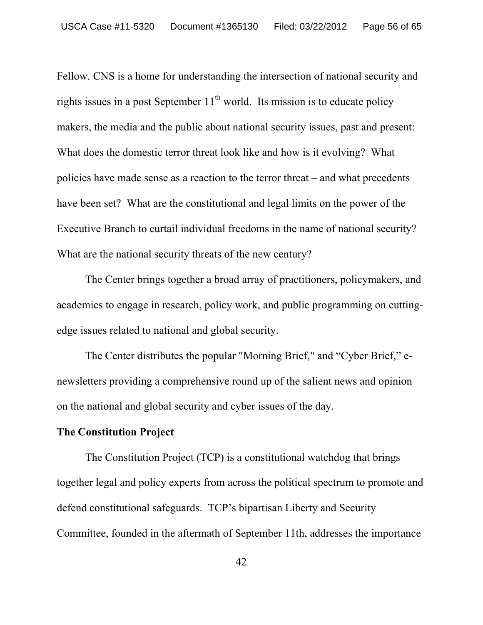Fellow. CNS is a home for understanding the intersection of national security and rights issues in a post September  $11<sup>th</sup>$  world. Its mission is to educate policy makers, the media and the public about national security issues, past and present: What does the domestic terror threat look like and how is it evolving? What policies have made sense as a reaction to the terror threat – and what precedents have been set? What are the constitutional and legal limits on the power of the Executive Branch to curtail individual freedoms in the name of national security? What are the national security threats of the new century?

The Center brings together a broad array of practitioners, policymakers, and academics to engage in research, policy work, and public programming on cuttingedge issues related to national and global security.

The Center distributes the popular "Morning Brief," and "Cyber Brief," enewsletters providing a comprehensive round up of the salient news and opinion on the national and global security and cyber issues of the day.

### **The Constitution Project**

The Constitution Project (TCP) is a constitutional watchdog that brings together legal and policy experts from across the political spectrum to promote and defend constitutional safeguards. TCP's bipartisan Liberty and Security Committee, founded in the aftermath of September 11th, addresses the importance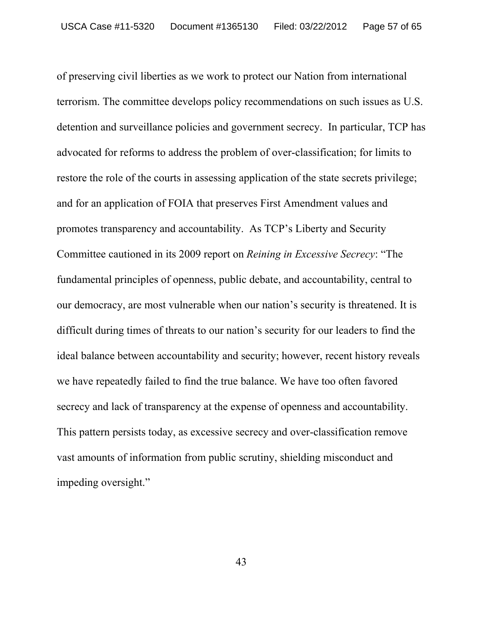of preserving civil liberties as we work to protect our Nation from international terrorism. The committee develops policy recommendations on such issues as U.S. detention and surveillance policies and government secrecy. In particular, TCP has advocated for reforms to address the problem of over-classification; for limits to restore the role of the courts in assessing application of the state secrets privilege; and for an application of FOIA that preserves First Amendment values and promotes transparency and accountability. As TCP's Liberty and Security Committee cautioned in its 2009 report on *Reining in Excessive Secrecy*: "The fundamental principles of openness, public debate, and accountability, central to our democracy, are most vulnerable when our nation's security is threatened. It is difficult during times of threats to our nation's security for our leaders to find the ideal balance between accountability and security; however, recent history reveals we have repeatedly failed to find the true balance. We have too often favored secrecy and lack of transparency at the expense of openness and accountability. This pattern persists today, as excessive secrecy and over-classification remove vast amounts of information from public scrutiny, shielding misconduct and impeding oversight."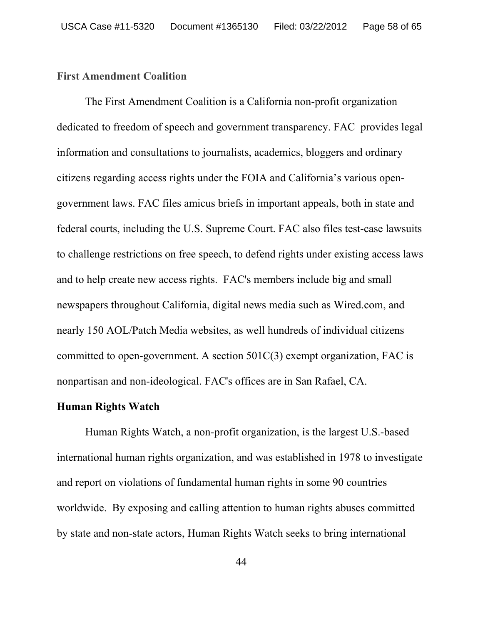#### **First Amendment Coalition**

The First Amendment Coalition is a California non-profit organization dedicated to freedom of speech and government transparency. FAC provides legal information and consultations to journalists, academics, bloggers and ordinary citizens regarding access rights under the FOIA and California's various opengovernment laws. FAC files amicus briefs in important appeals, both in state and federal courts, including the U.S. Supreme Court. FAC also files test-case lawsuits to challenge restrictions on free speech, to defend rights under existing access laws and to help create new access rights. FAC's members include big and small newspapers throughout California, digital news media such as Wired.com, and nearly 150 AOL/Patch Media websites, as well hundreds of individual citizens committed to open-government. A section 501C(3) exempt organization, FAC is nonpartisan and non-ideological. FAC's offices are in San Rafael, CA.

#### **Human Rights Watch**

 Human Rights Watch, a non-profit organization, is the largest U.S.-based international human rights organization, and was established in 1978 to investigate and report on violations of fundamental human rights in some 90 countries worldwide. By exposing and calling attention to human rights abuses committed by state and non-state actors, Human Rights Watch seeks to bring international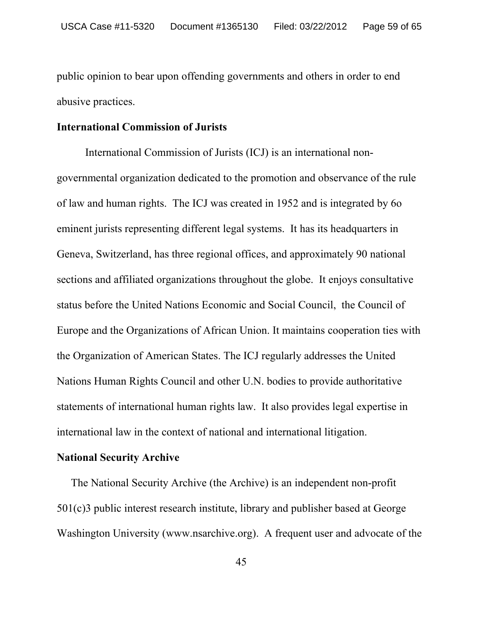public opinion to bear upon offending governments and others in order to end abusive practices.

#### **International Commission of Jurists**

International Commission of Jurists (ICJ) is an international nongovernmental organization dedicated to the promotion and observance of the rule of law and human rights. The ICJ was created in 1952 and is integrated by 6o eminent jurists representing different legal systems. It has its headquarters in Geneva, Switzerland, has three regional offices, and approximately 90 national sections and affiliated organizations throughout the globe. It enjoys consultative status before the United Nations Economic and Social Council, the Council of Europe and the Organizations of African Union. It maintains cooperation ties with the Organization of American States. The ICJ regularly addresses the United Nations Human Rights Council and other U.N. bodies to provide authoritative statements of international human rights law. It also provides legal expertise in international law in the context of national and international litigation.

#### **National Security Archive**

The National Security Archive (the Archive) is an independent non-profit 501(c)3 public interest research institute, library and publisher based at George Washington University (www.nsarchive.org). A frequent user and advocate of the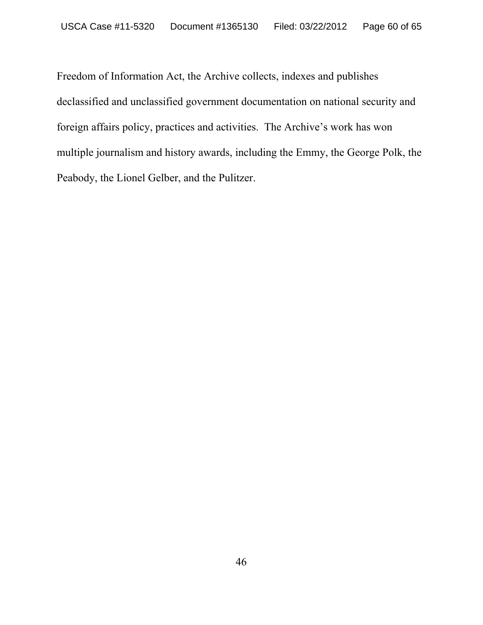Freedom of Information Act, the Archive collects, indexes and publishes declassified and unclassified government documentation on national security and foreign affairs policy, practices and activities. The Archive's work has won multiple journalism and history awards, including the Emmy, the George Polk, the Peabody, the Lionel Gelber, and the Pulitzer.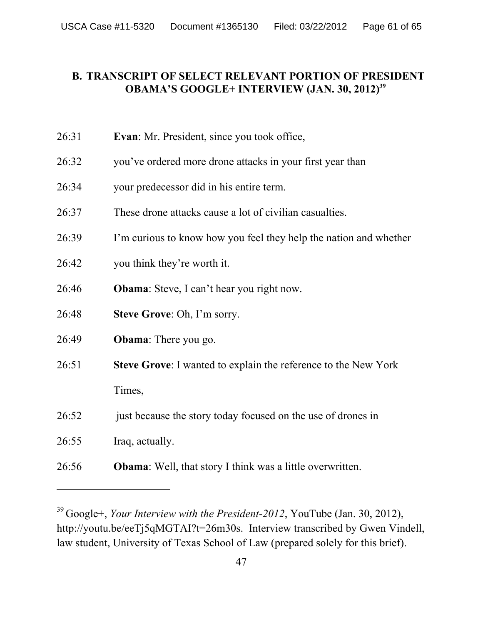# **B. TRANSCRIPT OF SELECT RELEVANT PORTION OF PRESIDENT OBAMA'S GOOGLE+ INTERVIEW (JAN. 30, 2012)<sup>39</sup>**

| 26:31 | <b>Evan:</b> Mr. President, since you took office, |
|-------|----------------------------------------------------|
|       |                                                    |

- 26:32 you've ordered more drone attacks in your first year than
- 26:34 your predecessor did in his entire term.
- 26:37 These drone attacks cause a lot of civilian casualties.
- 26:39 I'm curious to know how you feel they help the nation and whether
- 26:42 you think they're worth it.
- 26:46 **Obama**: Steve, I can't hear you right now.
- 26:48 **Steve Grove**: Oh, I'm sorry.
- 26:49 **Obama**: There you go.
- 26:51 **Steve Grove**: I wanted to explain the reference to the New York Times,
- 26:52 just because the story today focused on the use of drones in
- 26:55 Iraq, actually.

-

26:56 **Obama**: Well, that story I think was a little overwritten.

<sup>39</sup> Google+, *Your Interview with the President-2012*, YouTube (Jan. 30, 2012), http://youtu.be/eeTj5qMGTAI?t=26m30s. Interview transcribed by Gwen Vindell, law student, University of Texas School of Law (prepared solely for this brief).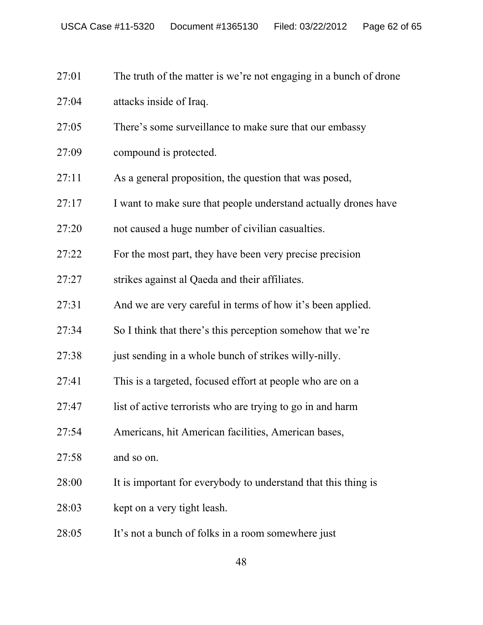- 27:01 The truth of the matter is we're not engaging in a bunch of drone
- 27:04 attacks inside of Iraq.
- 27:05 There's some surveillance to make sure that our embassy
- 27:09 compound is protected.
- 27:11 As a general proposition, the question that was posed,
- 27:17 I want to make sure that people understand actually drones have
- 27:20 not caused a huge number of civilian casualties.
- 27:22 For the most part, they have been very precise precision
- 27:27 strikes against al Qaeda and their affiliates.
- 27:31 And we are very careful in terms of how it's been applied.
- 27:34 So I think that there's this perception somehow that we're
- 27:38 just sending in a whole bunch of strikes willy-nilly.
- 27:41 This is a targeted, focused effort at people who are on a
- 27:47 list of active terrorists who are trying to go in and harm
- 27:54 Americans, hit American facilities, American bases,
- 27:58 and so on.
- 28:00 It is important for everybody to understand that this thing is
- 28:03 kept on a very tight leash.
- 28:05 It's not a bunch of folks in a room somewhere just

48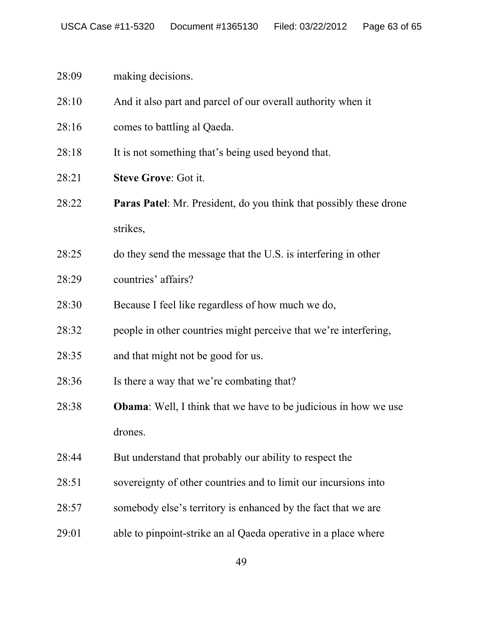# 28:09 making decisions.

- 28:10 And it also part and parcel of our overall authority when it
- 28:16 comes to battling al Qaeda.
- 28:18 It is not something that's being used beyond that.
- 28:21 **Steve Grove**: Got it.
- 28:22 **Paras Patel**: Mr. President, do you think that possibly these drone strikes,
- 28:25 do they send the message that the U.S. is interfering in other
- 28:29 countries' affairs?
- 28:30 Because I feel like regardless of how much we do,
- 28:32 people in other countries might perceive that we're interfering,
- 28:35 and that might not be good for us.
- 28:36 Is there a way that we're combating that?
- 28:38 **Obama**: Well, I think that we have to be judicious in how we use drones.
- 28:44 But understand that probably our ability to respect the
- 28:51 sovereignty of other countries and to limit our incursions into
- 28:57 somebody else's territory is enhanced by the fact that we are
- 29:01 able to pinpoint-strike an al Qaeda operative in a place where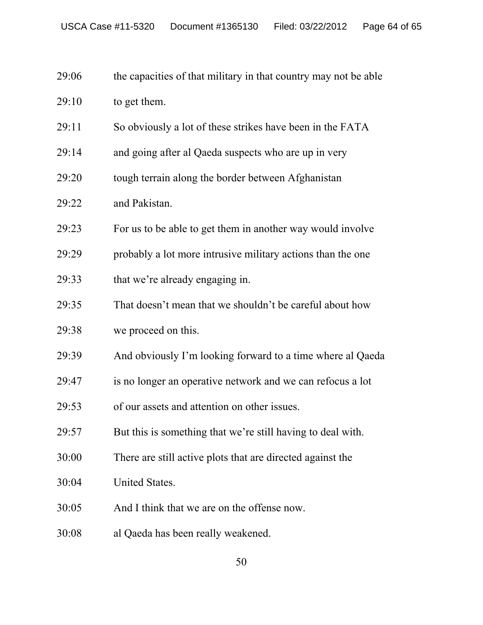| 29:06 |  |  |  | the capacities of that military in that country may not be able |
|-------|--|--|--|-----------------------------------------------------------------|
|-------|--|--|--|-----------------------------------------------------------------|

| 29:10 | to get them. |
|-------|--------------|
|-------|--------------|

- 29:11 So obviously a lot of these strikes have been in the FATA
- 29:14 and going after al Qaeda suspects who are up in very
- 29:20 tough terrain along the border between Afghanistan
- 29:22 and Pakistan.
- 29:23 For us to be able to get them in another way would involve
- 29:29 probably a lot more intrusive military actions than the one
- 29:33 that we're already engaging in.
- 29:35 That doesn't mean that we shouldn't be careful about how
- 29:38 we proceed on this.
- 29:39 And obviously I'm looking forward to a time where al Qaeda
- 29:47 is no longer an operative network and we can refocus a lot
- 29:53 of our assets and attention on other issues.
- 29:57 But this is something that we're still having to deal with.
- 30:00 There are still active plots that are directed against the
- 30:04 United States.
- 30:05 And I think that we are on the offense now.
- 30:08 al Qaeda has been really weakened.